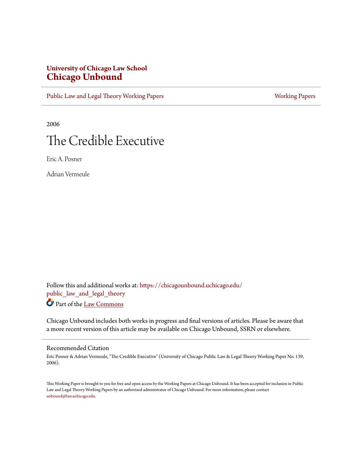### **University of Chicago Law School [Chicago Unbound](https://chicagounbound.uchicago.edu?utm_source=chicagounbound.uchicago.edu%2Fpublic_law_and_legal_theory%2F304&utm_medium=PDF&utm_campaign=PDFCoverPages)**

[Public Law and Legal Theory Working Papers](https://chicagounbound.uchicago.edu/public_law_and_legal_theory?utm_source=chicagounbound.uchicago.edu%2Fpublic_law_and_legal_theory%2F304&utm_medium=PDF&utm_campaign=PDFCoverPages) **[Working Papers](https://chicagounbound.uchicago.edu/working_papers?utm_source=chicagounbound.uchicago.edu%2Fpublic_law_and_legal_theory%2F304&utm_medium=PDF&utm_campaign=PDFCoverPages)** Working Papers

2006

# The Credible Executive

Eric A. Posner

Adrian Vermeule

Follow this and additional works at: [https://chicagounbound.uchicago.edu/](https://chicagounbound.uchicago.edu/public_law_and_legal_theory?utm_source=chicagounbound.uchicago.edu%2Fpublic_law_and_legal_theory%2F304&utm_medium=PDF&utm_campaign=PDFCoverPages) [public\\_law\\_and\\_legal\\_theory](https://chicagounbound.uchicago.edu/public_law_and_legal_theory?utm_source=chicagounbound.uchicago.edu%2Fpublic_law_and_legal_theory%2F304&utm_medium=PDF&utm_campaign=PDFCoverPages) Part of the [Law Commons](http://network.bepress.com/hgg/discipline/578?utm_source=chicagounbound.uchicago.edu%2Fpublic_law_and_legal_theory%2F304&utm_medium=PDF&utm_campaign=PDFCoverPages)

Chicago Unbound includes both works in progress and final versions of articles. Please be aware that a more recent version of this article may be available on Chicago Unbound, SSRN or elsewhere.

#### Recommended Citation

Eric Posner & Adrian Vermeule, "The Credible Executive" (University of Chicago Public Law & Legal Theory Working Paper No. 139, 2006).

This Working Paper is brought to you for free and open access by the Working Papers at Chicago Unbound. It has been accepted for inclusion in Public Law and Legal Theory Working Papers by an authorized administrator of Chicago Unbound. For more information, please contact [unbound@law.uchicago.edu](mailto:unbound@law.uchicago.edu).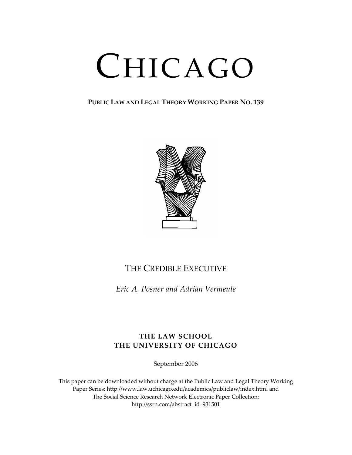# CHICAGO

**PUBLIC LAW AND LEGAL THEORY WORKING PAPER NO. 139**



# THE CREDIBLE EXECUTIVE

*Eric A. Posner and Adrian Vermeule*

## **THE LAW SCHOOL THE UNIVERSITY OF CHICAGO**

September 2006

This paper can be downloaded without charge at the Public Law and Legal Theory Working Paper Series: http://www.law.uchicago.edu/academics/publiclaw/index.html and The Social Science Research Network Electronic Paper Collection: http://ssrn.com/abstract\_id=931501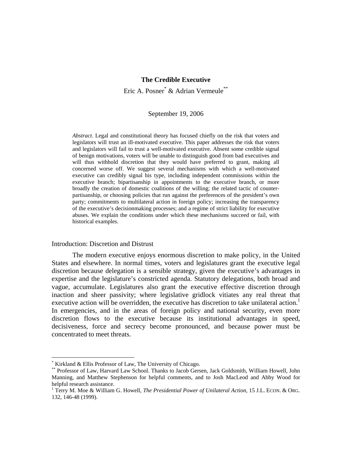#### **The Credible Executive**

Eric A. Posner<sup>\*</sup> & Adrian Vermeule<sup>\*\*</sup>

#### September 19, 2006

*Abstract*. Legal and constitutional theory has focused chiefly on the risk that voters and legislators will trust an ill-motivated executive. This paper addresses the risk that voters and legislators will fail to trust a well-motivated executive. Absent some credible signal of benign motivations, voters will be unable to distinguish good from bad executives and will thus withhold discretion that they would have preferred to grant, making all concerned worse off. We suggest several mechanisms with which a well-motivated executive can credibly signal his type, including independent commissions within the executive branch; bipartisanship in appointments to the executive branch, or more broadly the creation of domestic coalitions of the willing; the related tactic of counterpartisanship, or choosing policies that run against the preferences of the president's own party; commitments to multilateral action in foreign policy; increasing the transparency of the executive's decisionmaking processes; and a regime of strict liability for executive abuses. We explain the conditions under which these mechanisms succeed or fail, with historical examples.

#### Introduction: Discretion and Distrust

1

 The modern executive enjoys enormous discretion to make policy, in the United States and elsewhere. In normal times, voters and legislatures grant the executive legal discretion because delegation is a sensible strategy, given the executive's advantages in expertise and the legislature's constricted agenda. Statutory delegations, both broad and vague, accumulate. Legislatures also grant the executive effective discretion through inaction and sheer passivity; where legislative gridlock vitiates any real threat that executive action will be overridden, the executive has discretion to take unilateral action.<sup>1</sup> In emergencies, and in the areas of foreign policy and national security, even more discretion flows to the executive because its institutional advantages in speed, decisiveness, force and secrecy become pronounced, and because power must be concentrated to meet threats.

<sup>\*</sup>

 $^\ast$  Kirkland & Ellis Professor of Law, The University of Chicago.<br>\*\* Professor of Law, Harvard Law School. Thanks to Jacob Gersen, Jack Goldsmith, William Howell, John Manning, and Matthew Stephenson for helpful comments, and to Josh MacLeod and Abby Wood for helpful research assistance.

<sup>&</sup>lt;sup>1</sup> Terry M. Moe & William G. Howell, *The Presidential Power of Unilateral Action*, 15 J.L. ECON. & ORG. 132, 146-48 (1999).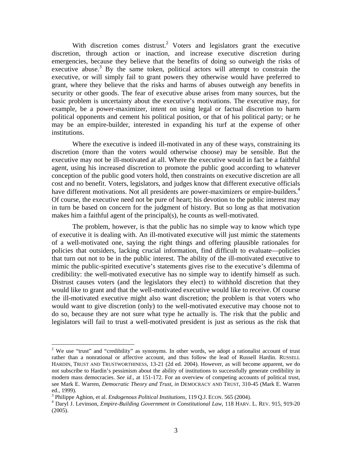With discretion comes distrust.<sup>2</sup> Voters and legislators grant the executive discretion, through action or inaction, and increase executive discretion during emergencies, because they believe that the benefits of doing so outweigh the risks of executive abuse.<sup>3</sup> By the same token, political actors will attempt to constrain the executive, or will simply fail to grant powers they otherwise would have preferred to grant, where they believe that the risks and harms of abuses outweigh any benefits in security or other goods. The fear of executive abuse arises from many sources, but the basic problem is uncertainty about the executive's motivations. The executive may, for example, be a power-maximizer, intent on using legal or factual discretion to harm political opponents and cement his political position, or that of his political party; or he may be an empire-builder, interested in expanding his turf at the expense of other institutions.

 Where the executive is indeed ill-motivated in any of these ways, constraining its discretion (more than the voters would otherwise choose) may be sensible. But the executive may not be ill-motivated at all. Where the executive would in fact be a faithful agent, using his increased discretion to promote the public good according to whatever conception of the public good voters hold, then constraints on executive discretion are all cost and no benefit. Voters, legislators, and judges know that different executive officials have different motivations. Not all presidents are power-maximizers or empire-builders.<sup>4</sup> Of course, the executive need not be pure of heart; his devotion to the public interest may in turn be based on concern for the judgment of history. But so long as that motivation makes him a faithful agent of the principal(s), he counts as well-motivated.

The problem, however, is that the public has no simple way to know which type of executive it is dealing with. An ill-motivated executive will just mimic the statements of a well-motivated one, saying the right things and offering plausible rationales for policies that outsiders, lacking crucial information, find difficult to evaluate—policies that turn out not to be in the public interest. The ability of the ill-motivated executive to mimic the public-spirited executive's statements gives rise to the executive's dilemma of credibility: the well-motivated executive has no simple way to identify himself as such. Distrust causes voters (and the legislators they elect) to withhold discretion that they would like to grant and that the well-motivated executive would like to receive. Of course the ill-motivated executive might also want discretion; the problem is that voters who would want to give discretion (only) to the well-motivated executive may choose not to do so, because they are not sure what type he actually is. The risk that the public and legislators will fail to trust a well-motivated president is just as serious as the risk that

1

<sup>&</sup>lt;sup>2</sup> We use "trust" and "credibility" as synonyms. In other words, we adopt a rationalist account of trust rather than a nonrational or affective account, and thus follow the lead of Russell Hardin. RUSSELL HARDIN, TRUST AND TRUSTWORTHINESS, 13-21 (2d ed. 2004). However, as will become apparent, we do not subscribe to Hardin's pessimism about the ability of institutions to successfully generate credibility in modern mass democracies. *See id*., at 151-172. For an overview of competing accounts of political trust, see Mark E. Warren, *Democratic Theory and Trust*, *in* DEMOCRACY AND TRUST, 310-45 (Mark E. Warren ed., 1999).

<sup>&</sup>lt;sup>3</sup> Philippe Aghion, et al. *Endogenous Political Institutions*, 119 Q.J. ECON. 565 (2004).

Daryl J. Levinson, *Empire-Building Government in Constitutional Law*, 118 HARV. L. REV. 915, 919-20 (2005).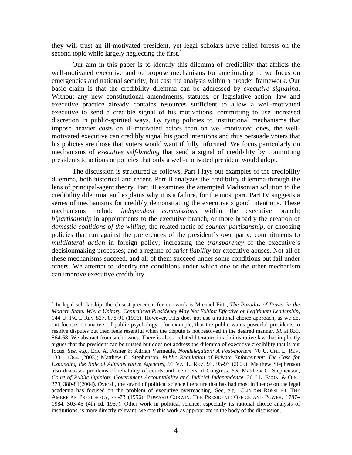they will trust an ill-motivated president, yet legal scholars have felled forests on the second topic while largely neglecting the first.<sup>5</sup>

 Our aim in this paper is to identify this dilemma of credibility that afflicts the well-motivated executive and to propose mechanisms for ameliorating it; we focus on emergencies and national security, but cast the analysis within a broader framework. Our basic claim is that the credibility dilemma can be addressed by *executive signaling*. Without any new constitutional amendments, statutes, or legislative action, law and executive practice already contains resources sufficient to allow a well-motivated executive to send a credible signal of his motivations, committing to use increased discretion in public-spirited ways. By tying policies to institutional mechanisms that impose heavier costs on ill-motivated actors than on well-motivated ones, the wellmotivated executive can credibly signal his good intentions and thus persuade voters that his policies are those that voters would want if fully informed. We focus particularly on mechanisms of *executive self-binding* that send a signal of credibility by committing presidents to actions or policies that only a well-motivated president would adopt.

The discussion is structured as follows. Part I lays out examples of the credibility dilemma, both historical and recent. Part II analyzes the credibility dilemma through the lens of principal-agent theory. Part III examines the attempted Madisonian solution to the credibility dilemma, and explains why it is a failure, for the most part. Part IV suggests a series of mechanisms for credibly demonstrating the executive's good intentions. These mechanisms include *independent commissions* within the executive branch; *bipartisanship* in appointments to the executive branch, or more broadly the creation of *domestic coalitions of the willing*; the related tactic of *counter-partisanship*, or choosing policies that run against the preferences of the president's own party; commitments to *multilateral action* in foreign policy; increasing the *transparency* of the executive's decisionmaking processes; and a regime of *strict liability* for executive abuses. Not all of these mechanisms succeed, and all of them succeed under some conditions but fail under others. We attempt to identify the conditions under which one or the other mechanism can improve executive credibility.

<sup>5</sup> In legal scholarship, the closest precedent for our work is Michael Fitts, *The Paradox of Power in the Modern State: Why a Unitary, Centralized Presidency May Not Exhibit Effective or Legitimate Leadership*, 144 U. PA. L REV 827, 878-91 (1996). However, Fitts does not use a rational choice approach, as we do, but focuses on matters of public psychology—for example, that the public wants powerful presidents to resolve disputes but then feels resentful when the dispute is not resolved in the desired manner. *Id*. at 839, 864-68. We abstract from such issues. There is also a related literature in administrative law that implicitly argues that the president can be trusted but does not address the dilemma of executive credibility that is our focus. *See, e.g.*, Eric A. Posner & Adrian Vermeule, *Nondelegation: A Post-mortem*, 70 U. CHI. L. REV. 1331, 1344 (2003); Matthew C. Stephenson, *Public Regulation of Private Enforcement: The Case for Expanding the Role of Administrative Agencies*, 91 VA. L. REV. 93, 95-97 (2005). Matthew Stephenson also discusses problems of reliability of courts and members of Congress. *See* Matthew C. Stephenson, *Court of Public Opinion: Government Accountability and Judicial Independence*, 20 J.L. ECON. & ORG. 379, 380-81(2004). Overall, the strand of political science literature that has had most influence on the legal academia has focused on the problem of executive overreaching. See, e.g., CLINTON ROSSITER, THE AMERICAN PRESIDENCY, 44-73 (1956); EDWARD CORWIN, THE PRESIDENT: OFFICE AND POWER, 1787– 1984, 303-45 (4th ed. 1957). Other work in political science, especially its rational choice analysis of institutions, is more directly relevant; we cite this work as appropriate in the body of the discussion.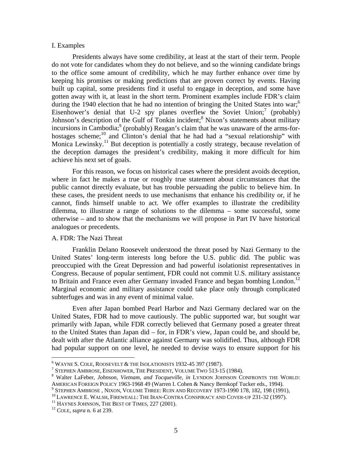#### I. Examples

 Presidents always have some credibility, at least at the start of their term. People do not vote for candidates whom they do not believe, and so the winning candidate brings to the office some amount of credibility, which he may further enhance over time by keeping his promises or making predictions that are proven correct by events. Having built up capital, some presidents find it useful to engage in deception, and some have gotten away with it, at least in the short term. Prominent examples include FDR's claim during the 1940 election that he had no intention of bringing the United States into war; $<sup>6</sup>$ </sup> Eisenhower's denial that U-2 spy planes overflew the Soviet Union;<sup>7</sup> (probably) Johnson's description of the Gulf of Tonkin incident; $^8$  Nixon's statements about military incursions in Cambodia;<sup>9</sup> (probably) Reagan's claim that he was unaware of the arms-forhostages scheme;<sup>10</sup> and Clinton's denial that he had had a "sexual relationship" with Monica Lewinsky.<sup>11</sup> But deception is potentially a costly strategy, because revelation of the deception damages the president's credibility, making it more difficult for him achieve his next set of goals.

 For this reason, we focus on historical cases where the president avoids deception, where in fact he makes a true or roughly true statement about circumstances that the public cannot directly evaluate, but has trouble persuading the public to believe him. In these cases, the president needs to use mechanisms that enhance his credibility or, if he cannot, finds himself unable to act. We offer examples to illustrate the credibility dilemma, to illustrate a range of solutions to the dilemma – some successful, some otherwise – and to show that the mechanisms we will propose in Part IV have historical analogues or precedents.

#### A. FDR: The Nazi Threat

 Franklin Delano Roosevelt understood the threat posed by Nazi Germany to the United States' long-term interests long before the U.S. public did. The public was preoccupied with the Great Depression and had powerful isolationist representatives in Congress. Because of popular sentiment, FDR could not commit U.S. military assistance to Britain and France even after Germany invaded France and began bombing London.<sup>12</sup> Marginal economic and military assistance could take place only through complicated subterfuges and was in any event of minimal value.

 Even after Japan bombed Pearl Harbor and Nazi Germany declared war on the United States, FDR had to move cautiously. The public supported war, but sought war primarily with Japan, while FDR correctly believed that Germany posed a greater threat to the United States than Japan did – for, in FDR's view, Japan could be, and should be, dealt with after the Atlantic alliance against Germany was solidified. Thus, although FDR had popular support on one level, he needed to devise ways to ensure support for his

1

<sup>&</sup>lt;sup>6</sup> WAYNE S. COLE, ROOSEVELT & THE ISOLATIONISTS 1932-45 397 (1987).<br><sup>7</sup> Stephen Ampdose, Eisenhoued, The Bresident, Volume Two 513,15

 $^7$  STEPHEN AMBROSE, EISENHOWER, THE PRESIDENT, VOLUME TWO 513-15 (1984).

Walter LaFeber*, Johnson, Vietnam, and Tocqueville*, *in* LYNDON JOHNSON CONFRONTS THE WORLD: AMERICAN FOREIGN POLICY 1963-1968 49 (Warren I. Cohen & Nancy Bernkopf Tucker eds., 1994).<br><sup>9</sup> STEPHEN AMBROSE, NIXON, VOLUME THREE: RUIN AND RECOVERY 1973-1990 178, 182, 198 (1991),

<sup>&</sup>lt;sup>10</sup> LAWRENCE E. WALSH, FIREWEALL: THE IRAN-CONTRA CONSPIRACY AND COVER-UP 231-32 (1997).<br><sup>11</sup> HAYNES JOHNSON, THE BEST OF TIMES, 227 (2001).<br><sup>12</sup> COLE, *supra* n. 6 at 239.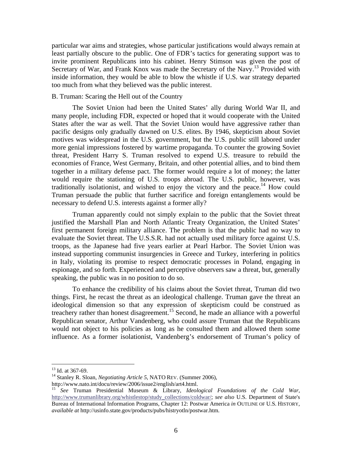particular war aims and strategies, whose particular justifications would always remain at least partially obscure to the public. One of FDR's tactics for generating support was to invite prominent Republicans into his cabinet. Henry Stimson was given the post of Secretary of War, and Frank Knox was made the Secretary of the Navy.<sup>13</sup> Provided with inside information, they would be able to blow the whistle if U.S. war strategy departed too much from what they believed was the public interest.

#### B. Truman: Scaring the Hell out of the Country

 The Soviet Union had been the United States' ally during World War II, and many people, including FDR, expected or hoped that it would cooperate with the United States after the war as well. That the Soviet Union would have aggressive rather than pacific designs only gradually dawned on U.S. elites. By 1946, skepticism about Soviet motives was widespread in the U.S. government, but the U.S. public still labored under more genial impressions fostered by wartime propaganda. To counter the growing Soviet threat, President Harry S. Truman resolved to expend U.S. treasure to rebuild the economies of France, West Germany, Britain, and other potential allies, and to bind them together in a military defense pact. The former would require a lot of money; the latter would require the stationing of U.S. troops abroad. The U.S. public, however, was traditionally isolationist, and wished to enjoy the victory and the peace.<sup>14</sup> How could Truman persuade the public that further sacrifice and foreign entanglements would be necessary to defend U.S. interests against a former ally?

 Truman apparently could not simply explain to the public that the Soviet threat justified the Marshall Plan and North Atlantic Treaty Organization, the United States' first permanent foreign military alliance. The problem is that the public had no way to evaluate the Soviet threat. The U.S.S.R. had not actually used military force against U.S. troops, as the Japanese had five years earlier at Pearl Harbor. The Soviet Union was instead supporting communist insurgencies in Greece and Turkey, interfering in politics in Italy, violating its promise to respect democratic processes in Poland, engaging in espionage, and so forth. Experienced and perceptive observers saw a threat, but, generally speaking, the public was in no position to do so.

 To enhance the credibility of his claims about the Soviet threat, Truman did two things. First, he recast the threat as an ideological challenge. Truman gave the threat an ideological dimension so that any expression of skepticism could be construed as treachery rather than honest disagreement.<sup>15</sup> Second, he made an alliance with a powerful Republican senator, Arthur Vandenberg, who could assure Truman that the Republicans would not object to his policies as long as he consulted them and allowed them some influence. As a former isolationist, Vandenberg's endorsement of Truman's policy of

 $13$  Id. at 367-69.

<sup>&</sup>lt;sup>14</sup> Stanley R. Sloan, *Negotiating Article 5*, NATO REV. (Summer 2006),

http://www.nato.int/docu/review/2006/issue2/english/art4.html. 15 *See* Truman Presidential Museum & Library, *Ideological Foundations of the Cold War*, http://www.trumanlibrary.org/whistlestop/study\_collections/coldwar/; *see also* U.S. Department of State's Bureau of International Information Programs, Chapter 12: Postwar America *in* OUTLINE OF U.S. HISTORY, *available at* http://usinfo.state.gov/products/pubs/histryotln/postwar.htm.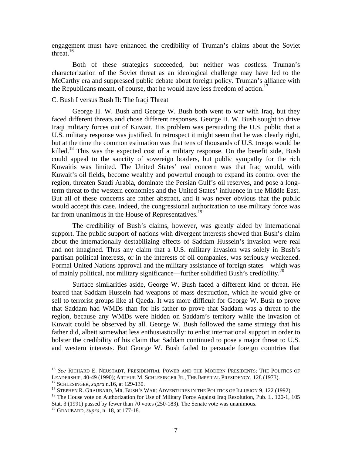engagement must have enhanced the credibility of Truman's claims about the Soviet threat. $16$ 

 Both of these strategies succeeded, but neither was costless. Truman's characterization of the Soviet threat as an ideological challenge may have led to the McCarthy era and suppressed public debate about foreign policy. Truman's alliance with the Republicans meant, of course, that he would have less freedom of action.<sup>17</sup>

#### C. Bush I versus Bush II: The Iraqi Threat

 George H. W. Bush and George W. Bush both went to war with Iraq, but they faced different threats and chose different responses. George H. W. Bush sought to drive Iraqi military forces out of Kuwait. His problem was persuading the U.S. public that a U.S. military response was justified. In retrospect it might seem that he was clearly right, but at the time the common estimation was that tens of thousands of U.S. troops would be killed.<sup>18</sup> This was the expected cost of a military response. On the benefit side, Bush could appeal to the sanctity of sovereign borders, but public sympathy for the rich Kuwaitis was limited. The United States' real concern was that Iraq would, with Kuwait's oil fields, become wealthy and powerful enough to expand its control over the region, threaten Saudi Arabia, dominate the Persian Gulf's oil reserves, and pose a longterm threat to the western economies and the United States' influence in the Middle East. But all of these concerns are rather abstract, and it was never obvious that the public would accept this case. Indeed, the congressional authorization to use military force was far from unanimous in the House of Representatives.<sup>19</sup>

 The credibility of Bush's claims, however, was greatly aided by international support. The public support of nations with divergent interests showed that Bush's claim about the internationally destabilizing effects of Saddam Hussein's invasion were real and not imagined. Thus any claim that a U.S. military invasion was solely in Bush's partisan political interests, or in the interests of oil companies, was seriously weakened. Formal United Nations approval and the military assistance of foreign states—which was of mainly political, not military significance—further solidified Bush's credibility.<sup>20</sup>

 Surface similarities aside, George W. Bush faced a different kind of threat. He feared that Saddam Hussein had weapons of mass destruction, which he would give or sell to terrorist groups like al Qaeda. It was more difficult for George W. Bush to prove that Saddam had WMDs than for his father to prove that Saddam was a threat to the region, because any WMDs were hidden on Saddam's territory while the invasion of Kuwait could be observed by all. George W. Bush followed the same strategy that his father did, albeit somewhat less enthusiastically: to enlist international support in order to bolster the credibility of his claim that Saddam continued to pose a major threat to U.S. and western interests. But George W. Bush failed to persuade foreign countries that

<sup>16</sup> *See* RICHARD E. NEUSTADT, PRESIDENTIAL POWER AND THE MODERN PRESIDENTS: THE POLITICS OF LEADERSHIP, 40-49 (1990); ARTHUR M. SCHLESINGER JR., THE IMPERIAL PRESIDENCY, 128 (1973).<br><sup>17</sup> SCHLESINGER, *supra* n.16, at 129-130.<br><sup>18</sup> STEPHEN R. GRAUBARD, MR. BUSH'S WAR: ADVENTURES IN THE POLITICS OF ILLUSION 9, 122

<sup>&</sup>lt;sup>19</sup> The House vote on Authorization for Use of Military Force Against Iraq Resolution, Pub. L. 120-1, 105 Stat. 3 (1991) passed by fewer than 70 votes (250-183). The Senate vote was unanimous.

<sup>20</sup> GRAUBARD, *supra*, n. 18, at 177-18.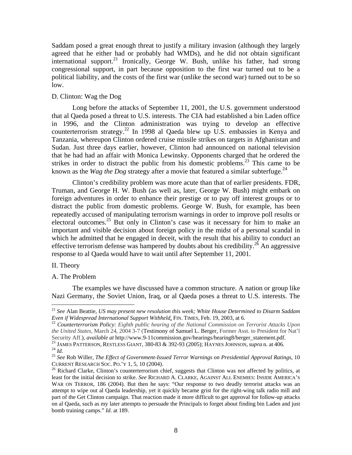Saddam posed a great enough threat to justify a military invasion (although they largely agreed that he either had or probably had WMDs), and he did not obtain significant international support.<sup>21</sup> Ironically, George W. Bush, unlike his father, had strong congressional support, in part because opposition to the first war turned out to be a political liability, and the costs of the first war (unlike the second war) turned out to be so low.

#### D. Clinton: Wag the Dog

 Long before the attacks of September 11, 2001, the U.S. government understood that al Qaeda posed a threat to U.S. interests. The CIA had established a bin Laden office in 1996, and the Clinton administration was trying to develop an effective counterterrorism strategy.<sup>22</sup> In 1998 al Qaeda blew up U.S. embassies in Kenya and Tanzania, whereupon Clinton ordered cruise missile strikes on targets in Afghanistan and Sudan. Just three days earlier, however, Clinton had announced on national television that he had had an affair with Monica Lewinsky. Opponents charged that he ordered the strikes in order to distract the public from his domestic problems.<sup>23</sup> This came to be known as the *Wag the Dog* strategy after a movie that featured a similar subterfuge.<sup>24</sup>

 Clinton's credibility problem was more acute than that of earlier presidents. FDR, Truman, and George H. W. Bush (as well as, later, George W. Bush) might embark on foreign adventures in order to enhance their prestige or to pay off interest groups or to distract the public from domestic problems. George W. Bush, for example, has been repeatedly accused of manipulating terrorism warnings in order to improve poll results or electoral outcomes.<sup>25</sup> But only in Clinton's case was it necessary for him to make an important and visible decision about foreign policy in the midst of a personal scandal in which he admitted that he engaged in deceit, with the result that his ability to conduct an effective terrorism defense was hampered by doubts about his credibility.<sup>26</sup> An aggressive response to al Qaeda would have to wait until after September 11, 2001.

#### II. Theory

 $\overline{a}$ 

A. The Problem

 The examples we have discussed have a common structure. A nation or group like Nazi Germany, the Soviet Union, Iraq, or al Qaeda poses a threat to U.S. interests. The

<sup>21</sup> *See* Alan Beattie, *US may present new resolution this week; White House Determined to Disarm Saddam Even if Widespread International Support Withheld*, FIN. TIMES, Feb. 19, 2003, at 6.<br><sup>22</sup> *Counterterrorism Policy: Eighth public hearing of the National Commission on Terrorist Attacks Upon* 

*the United States*, March 24, 2004 3-7 (Testimony of Samuel L. Berger, Former Asst. to President for Nat'l

Security Aff.), *available at* http://www.9-11commission.gov/hearings/hearing8/berger\_statement.pdf.<br><sup>23</sup> JAMES PATTERSON, RESTLESS GIANT, 380-83 & 392-93 (2005); HAYNES JOHNSON, *supra* n. at 406.<br><sup>24</sup> Id.<br><sup>25</sup> See Rob Wi

CURRENT RESEARCH SOC. PO.'Y 1, 5, 10 (2004).<br><sup>26</sup> Richard Clarke, Clinton's counterterrorism chief, suggests that Clinton was not affected by politics, at

least for the initial decision to strike. *See* RICHARD A. CLARKE, AGAINST ALL ENEMIES: INSIDE AMERICA'S WAR ON TERROR, 186 (2004). But then he says: "Our response to two deadly terrorist attacks was an attempt to wipe out al Qaeda leadership, yet it quickly became grist for the right-wing talk radio mill and part of the Get Clinton campaign. That reaction made it more difficult to get approval for follow-up attacks on al Qaeda, such as my later attempts to persuade the Principals to forget about finding bin Laden and just bomb training camps." *Id*. at 189.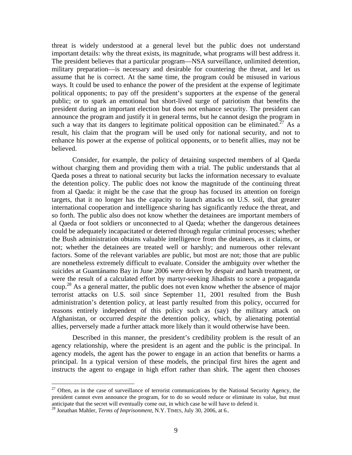threat is widely understood at a general level but the public does not understand important details: why the threat exists, its magnitude, what programs will best address it. The president believes that a particular program—NSA surveillance, unlimited detention, military preparation—is necessary and desirable for countering the threat, and let us assume that he is correct. At the same time, the program could be misused in various ways. It could be used to enhance the power of the president at the expense of legitimate political opponents; to pay off the president's supporters at the expense of the general public; or to spark an emotional but short-lived surge of patriotism that benefits the president during an important election but does not enhance security. The president can announce the program and justify it in general terms, but he cannot design the program in such a way that its dangers to legitimate political opposition can be eliminated.<sup>27</sup> As a result, his claim that the program will be used only for national security, and not to enhance his power at the expense of political opponents, or to benefit allies, may not be believed.

 Consider, for example, the policy of detaining suspected members of al Qaeda without charging them and providing them with a trial. The public understands that al Qaeda poses a threat to national security but lacks the information necessary to evaluate the detention policy. The public does not know the magnitude of the continuing threat from al Qaeda: it might be the case that the group has focused its attention on foreign targets, that it no longer has the capacity to launch attacks on U.S. soil, that greater international cooperation and intelligence sharing has significantly reduce the threat, and so forth. The public also does not know whether the detainees are important members of al Qaeda or foot soldiers or unconnected to al Qaeda; whether the dangerous detainees could be adequately incapacitated or deterred through regular criminal processes; whether the Bush administration obtains valuable intelligence from the detainees, as it claims, or not; whether the detainees are treated well or harshly; and numerous other relevant factors. Some of the relevant variables are public, but most are not; those that are public are nonetheless extremely difficult to evaluate. Consider the ambiguity over whether the suicides at Guantánamo Bay in June 2006 were driven by despair and harsh treatment, or were the result of a calculated effort by martyr-seeking Jihadists to score a propaganda coup.<sup>28</sup> As a general matter, the public does not even know whether the absence of major terrorist attacks on U.S. soil since September 11, 2001 resulted from the Bush administration's detention policy, at least partly resulted from this policy, occurred for reasons entirely independent of this policy such as (say) the military attack on Afghanistan, or occurred *despite* the detention policy, which, by alienating potential allies, perversely made a further attack more likely than it would otherwise have been.

 Described in this manner, the president's credibility problem is the result of an agency relationship, where the president is an agent and the public is the principal. In agency models, the agent has the power to engage in an action that benefits or harms a principal. In a typical version of these models, the principal first hires the agent and instructs the agent to engage in high effort rather than shirk. The agent then chooses

 $27$  Often, as in the case of surveillance of terrorist communications by the National Security Agency, the president cannot even announce the program, for to do so would reduce or eliminate its value, but must anticipate that the secret will eventually come out, in which case he will have to defend it. 28 Jonathan Mahler, *Terms of Imprisonment*, N.Y. TIMES, July 30, 2006, at 6..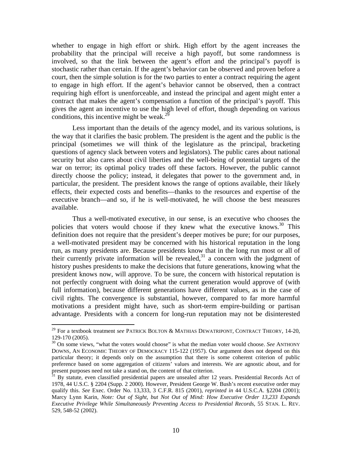whether to engage in high effort or shirk. High effort by the agent increases the probability that the principal will receive a high payoff, but some randomness is involved, so that the link between the agent's effort and the principal's payoff is stochastic rather than certain. If the agent's behavior can be observed and proven before a court, then the simple solution is for the two parties to enter a contract requiring the agent to engage in high effort. If the agent's behavior cannot be observed, then a contract requiring high effort is unenforceable, and instead the principal and agent might enter a contract that makes the agent's compensation a function of the principal's payoff. This gives the agent an incentive to use the high level of effort, though depending on various conditions, this incentive might be weak.<sup>29</sup>

 Less important than the details of the agency model, and its various solutions, is the way that it clarifies the basic problem. The president is the agent and the public is the principal (sometimes we will think of the legislature as the principal, bracketing questions of agency slack between voters and legislators). The public cares about national security but also cares about civil liberties and the well-being of potential targets of the war on terror; its optimal policy trades off these factors. However, the public cannot directly choose the policy; instead, it delegates that power to the government and, in particular, the president. The president knows the range of options available, their likely effects, their expected costs and benefits—thanks to the resources and expertise of the executive branch—and so, if he is well-motivated, he will choose the best measures available.

 Thus a well-motivated executive, in our sense, is an executive who chooses the policies that voters would choose if they knew what the executive knows.<sup>30</sup> This definition does not require that the president's deeper motives be pure; for our purposes, a well-motivated president may be concerned with his historical reputation in the long run, as many presidents are. Because presidents know that in the long run most or all of their currently private information will be revealed, $3<sup>1</sup>$  a concern with the judgment of history pushes presidents to make the decisions that future generations, knowing what the president knows now, will approve. To be sure, the concern with historical reputation is not perfectly congruent with doing what the current generation would approve of (with full information), because different generations have different values, as in the case of civil rights. The convergence is substantial, however, compared to far more harmful motivations a president might have, such as short-term empire-building or partisan advantage. Presidents with a concern for long-run reputation may not be disinterested

<sup>29</sup> For a textbook treatment *see* PATRICK BOLTON & MATHIAS DEWATRIPONT, CONTRACT THEORY, 14-20, 129-170 (2005).

<sup>&</sup>lt;sup>30</sup> On some views, "what the voters would choose" is what the median voter would choose. *See* ANTHONY DOWNS, AN ECONOMIC THEORY OF DEMOCRACY 115-122 (1957). Our argument does not depend on this particular theory; it depends only on the assumption that there is some coherent criterion of public preference based on some aggregation of citizens' values and interests. We are agnostic about, and for present purposes need not take a stand on, the content of that criterion.<br><sup>31</sup> By statute, even classified presidential papers are unsealed after 12 years. Presidential Records Act of

<sup>1978, 44</sup> U.S.C. § 2204 (Supp. 2 2000). However, President George W. Bush's recent executive order may qualify this. *See* Exec. Order No. 13,333, 3 C.F.R. 815 (2001), *reprinted in* 44 U.S.C.A. §2204 (2001); Marcy Lynn Karin, *Note: Out of Sight, but Not Out of Mind: How Executive Order 13,233 Expands Executive Privilege While Simultaneously Preventing Access to Presidential Records*, 55 STAN. L. REV. 529, 548-52 (2002).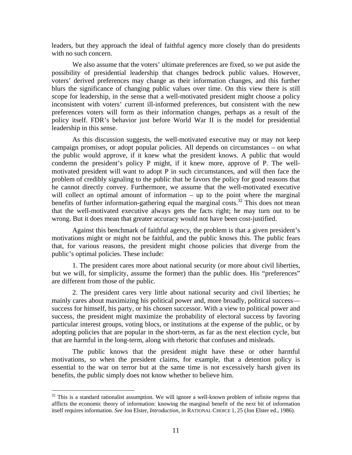leaders, but they approach the ideal of faithful agency more closely than do presidents with no such concern.

We also assume that the voters' ultimate preferences are fixed, so we put aside the possibility of presidential leadership that changes bedrock public values. However, voters' derived preferences may change as their information changes, and this further blurs the significance of changing public values over time. On this view there is still scope for leadership, in the sense that a well-motivated president might choose a policy inconsistent with voters' current ill-informed preferences, but consistent with the new preferences voters will form as their information changes, perhaps as a result of the policy itself. FDR's behavior just before World War II is the model for presidential leadership in this sense.

As this discussion suggests, the well-motivated executive may or may not keep campaign promises, or adopt popular policies. All depends on circumstances – on what the public would approve, if it knew what the president knows. A public that would condemn the president's policy P might, if it knew more, approve of P. The wellmotivated president will want to adopt P in such circumstances, and will then face the problem of credibly signaling to the public that he favors the policy for good reasons that he cannot directly convey. Furthermore, we assume that the well-motivated executive will collect an optimal amount of information – up to the point where the marginal benefits of further information-gathering equal the marginal costs.<sup>32</sup> This does not mean that the well-motivated executive always gets the facts right; he may turn out to be wrong. But it does mean that greater accuracy would not have been cost-justified.

Against this benchmark of faithful agency, the problem is that a given president's motivations might or might not be faithful, and the public knows this. The public fears that, for various reasons, the president might choose policies that diverge from the public's optimal policies. These include:

 1. The president cares more about national security (or more about civil liberties, but we will, for simplicity, assume the former) than the public does. His "preferences" are different from those of the public.

 2. The president cares very little about national security and civil liberties; he mainly cares about maximizing his political power and, more broadly, political success success for himself, his party, or his chosen successor. With a view to political power and success, the president might maximize the probability of electoral success by favoring particular interest groups, voting blocs, or institutions at the expense of the public, or by adopting policies that are popular in the short-term, as far as the next election cycle, but that are harmful in the long-term, along with rhetoric that confuses and misleads.

 The public knows that the president might have these or other harmful motivations, so when the president claims, for example, that a detention policy is essential to the war on terror but at the same time is not excessively harsh given its benefits, the public simply does not know whether to believe him.

<sup>&</sup>lt;sup>32</sup> This is a standard rationalist assumption. We will ignore a well-known problem of infinite regress that afflicts the economic theory of information: knowing the marginal benefit of the next bit of information itself requires information. *See* Jon Elster, *Introduction*, *in* RATIONAL CHOICE 1, 25 (Jon Elster ed., 1986).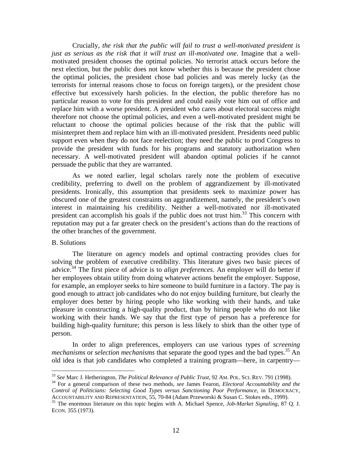Crucially, *the risk that the public will fail to trust a well-motivated president is just as serious as the risk that it will trust an ill-motivated one*. Imagine that a wellmotivated president chooses the optimal policies. No terrorist attack occurs before the next election, but the public does not know whether this is because the president chose the optimal policies, the president chose bad policies and was merely lucky (as the terrorists for internal reasons chose to focus on foreign targets), or the president chose effective but excessively harsh policies. In the election, the public therefore has no particular reason to vote for this president and could easily vote him out of office and replace him with a worse president. A president who cares about electoral success might therefore not choose the optimal policies, and even a well-motivated president might be reluctant to choose the optimal policies because of the risk that the public will misinterpret them and replace him with an ill-motivated president. Presidents need public support even when they do not face reelection; they need the public to prod Congress to provide the president with funds for his programs and statutory authorization when necessary. A well-motivated president will abandon optimal policies if he cannot persuade the public that they are warranted.

 As we noted earlier, legal scholars rarely note the problem of executive credibility, preferring to dwell on the problem of aggrandizement by ill-motivated presidents. Ironically, this assumption that presidents seek to maximize power has obscured one of the greatest constraints on aggrandizement, namely, the president's own interest in maintaining his credibility. Neither a well-motivated nor ill-motivated president can accomplish his goals if the public does not trust him.<sup>33</sup> This concern with reputation may put a far greater check on the president's actions than do the reactions of the other branches of the government.

#### B. Solutions

 The literature on agency models and optimal contracting provides clues for solving the problem of executive credibility. This literature gives two basic pieces of advice.34 The first piece of advice is to *align preferences*. An employer will do better if her employees obtain utility from doing whatever actions benefit the employer. Suppose, for example, an employer seeks to hire someone to build furniture in a factory. The pay is good enough to attract job candidates who do not enjoy building furniture, but clearly the employer does better by hiring people who like working with their hands, and take pleasure in constructing a high-quality product, than by hiring people who do not like working with their hands. We say that the first type of person has a preference for building high-quality furniture; this person is less likely to shirk than the other type of person.

 In order to align preferences, employers can use various types of *screening mechanisms* or *selection mechanisms* that separate the good types and the bad types.<sup>35</sup> An old idea is that job candidates who completed a training program—here, in carpentry—

<sup>&</sup>lt;sup>33</sup> See Marc J. Hetherington, *The Political Relevance of Public Trust*, 92 AM. POL. SCI. REV. 791 (1998).

<sup>&</sup>lt;sup>34</sup> For a general comparison of these two methods, see James Fearon, Electoral Accountability and the *Control of Politicians: Selecting Good Types versus Sanctioning Poor Performance*, in DEMOCRACY,

<sup>&</sup>lt;sup>35</sup> The enormous literature on this topic begins with A. Michael Spence, *Job-Market Signaling*, 87 Q. J. ECON. 355 (1973).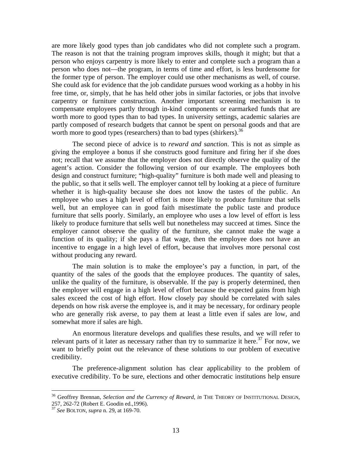are more likely good types than job candidates who did not complete such a program. The reason is not that the training program improves skills, though it might; but that a person who enjoys carpentry is more likely to enter and complete such a program than a person who does not—the program, in terms of time and effort, is less burdensome for the former type of person. The employer could use other mechanisms as well, of course. She could ask for evidence that the job candidate pursues wood working as a hobby in his free time, or, simply, that he has held other jobs in similar factories, or jobs that involve carpentry or furniture construction. Another important screening mechanism is to compensate employees partly through in-kind components or earmarked funds that are worth more to good types than to bad types. In university settings, academic salaries are partly composed of research budgets that cannot be spent on personal goods and that are worth more to good types (researchers) than to bad types (shirkers).<sup>36</sup>

 The second piece of advice is to *reward and sanction*. This is not as simple as giving the employee a bonus if she constructs good furniture and firing her if she does not; recall that we assume that the employer does not directly observe the quality of the agent's action. Consider the following version of our example. The employees both design and construct furniture; "high-quality" furniture is both made well and pleasing to the public, so that it sells well. The employer cannot tell by looking at a piece of furniture whether it is high-quality because she does not know the tastes of the public. An employee who uses a high level of effort is more likely to produce furniture that sells well, but an employee can in good faith misestimate the public taste and produce furniture that sells poorly. Similarly, an employee who uses a low level of effort is less likely to produce furniture that sells well but nonetheless may succeed at times. Since the employer cannot observe the quality of the furniture, she cannot make the wage a function of its quality; if she pays a flat wage, then the employee does not have an incentive to engage in a high level of effort, because that involves more personal cost without producing any reward.

 The main solution is to make the employee's pay a function, in part, of the quantity of the sales of the goods that the employee produces. The quantity of sales, unlike the quality of the furniture, is observable. If the pay is properly determined, then the employer will engage in a high level of effort because the expected gains from high sales exceed the cost of high effort. How closely pay should be correlated with sales depends on how risk averse the employee is, and it may be necessary, for ordinary people who are generally risk averse, to pay them at least a little even if sales are low, and somewhat more if sales are high.

 An enormous literature develops and qualifies these results, and we will refer to relevant parts of it later as necessary rather than try to summarize it here.<sup>37</sup> For now, we want to briefly point out the relevance of these solutions to our problem of executive credibility.

 The preference-alignment solution has clear applicability to the problem of executive credibility. To be sure, elections and other democratic institutions help ensure

<sup>36</sup> Geoffrey Brennan, *Selection and the Currency of Reward*, *in* THE THEORY OF INSTITUTIONAL DESIGN, 257, 262-72 (Robert E. Goodin ed.,1996).

<sup>37</sup> *See* BOLTON, *supra* n. 29, at 169-70.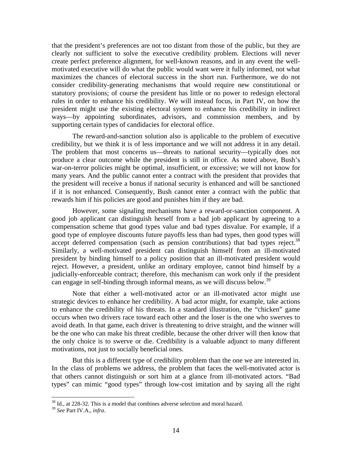that the president's preferences are not too distant from those of the public, but they are clearly not sufficient to solve the executive credibility problem. Elections will never create perfect preference alignment, for well-known reasons, and in any event the wellmotivated executive will do what the public would want were it fully informed, not what maximizes the chances of electoral success in the short run. Furthermore, we do not consider credibility-generating mechanisms that would require new constitutional or statutory provisions; of course the president has little or no power to redesign electoral rules in order to enhance his credibility. We will instead focus, in Part IV, on how the president might use the existing electoral system to enhance his credibility in indirect ways—by appointing subordinates, advisors, and commission members, and by supporting certain types of candidacies for electoral office.

 The reward-and-sanction solution also is applicable to the problem of executive credibility, but we think it is of less importance and we will not address it in any detail. The problem that most concerns us—threats to national security—typically does not produce a clear outcome while the president is still in office. As noted above, Bush's war-on-terror policies might be optimal, insufficient, or excessive; we will not know for many years. And the public cannot enter a contract with the president that provides that the president will receive a bonus if national security is enhanced and will be sanctioned if it is not enhanced. Consequently, Bush cannot enter a contract with the public that rewards him if his policies are good and punishes him if they are bad.

 However, some signaling mechanisms have a reward-or-sanction component. A good job applicant can distinguish herself from a bad job applicant by agreeing to a compensation scheme that good types value and bad types disvalue. For example, if a good type of employee discounts future payoffs less than bad types, then good types will accept deferred compensation (such as pension contributions) that bad types reject.<sup>38</sup> Similarly, a well-motivated president can distinguish himself from an ill-motivated president by binding himself to a policy position that an ill-motivated president would reject. However, a president, unlike an ordinary employee, cannot bind himself by a judicially-enforceable contract; therefore, this mechanism can work only if the president can engage in self-binding through informal means, as we will discuss below.<sup>39</sup>

 Note that either a well-motivated actor or an ill-motivated actor might use strategic devices to enhance her credibility. A bad actor might, for example, take actions to enhance the credibility of his threats. In a standard illustration, the "chicken" game occurs when two drivers race toward each other and the loser is the one who swerves to avoid death. In that game, each driver is threatening to drive straight, and the winner will be the one who can make his threat credible, because the other driver will then know that the only choice is to swerve or die. Credibility is a valuable adjunct to many different motivations, not just to socially beneficial ones.

But this is a different type of credibility problem than the one we are interested in. In the class of problems we address, the problem that faces the well-motivated actor is that others cannot distinguish or sort him at a glance from ill-motivated actors. "Bad types" can mimic "good types" through low-cost imitation and by saying all the right

1

<sup>&</sup>lt;sup>38</sup> Id., at 228-32. This is a model that combines adverse selection and moral hazard.

<sup>39</sup> *See* Part IV.A., *infra*.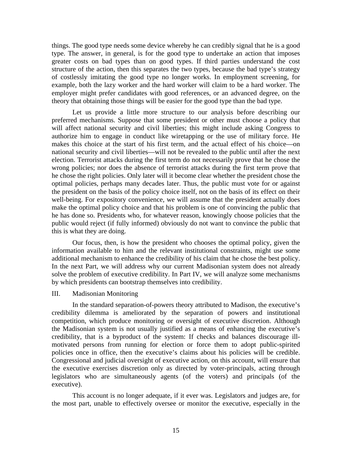things. The good type needs some device whereby he can credibly signal that he is a good type. The answer, in general, is for the good type to undertake an action that imposes greater costs on bad types than on good types. If third parties understand the cost structure of the action, then this separates the two types, because the bad type's strategy of costlessly imitating the good type no longer works. In employment screening, for example, both the lazy worker and the hard worker will claim to be a hard worker. The employer might prefer candidates with good references, or an advanced degree, on the theory that obtaining those things will be easier for the good type than the bad type.

 Let us provide a little more structure to our analysis before describing our preferred mechanisms. Suppose that some president or other must choose a policy that will affect national security and civil liberties; this might include asking Congress to authorize him to engage in conduct like wiretapping or the use of military force. He makes this choice at the start of his first term, and the actual effect of his choice—on national security and civil liberties—will not be revealed to the public until after the next election. Terrorist attacks during the first term do not necessarily prove that he chose the wrong policies; nor does the absence of terrorist attacks during the first term prove that he chose the right policies. Only later will it become clear whether the president chose the optimal policies, perhaps many decades later. Thus, the public must vote for or against the president on the basis of the policy choice itself, not on the basis of its effect on their well-being. For expository convenience, we will assume that the president actually does make the optimal policy choice and that his problem is one of convincing the public that he has done so. Presidents who, for whatever reason, knowingly choose policies that the public would reject (if fully informed) obviously do not want to convince the public that this is what they are doing.

Our focus, then, is how the president who chooses the optimal policy, given the information available to him and the relevant institutional constraints, might use some additional mechanism to enhance the credibility of his claim that he chose the best policy. In the next Part, we will address why our current Madisonian system does not already solve the problem of executive credibility. In Part IV, we will analyze some mechanisms by which presidents can bootstrap themselves into credibility.

#### III. Madisonian Monitoring

In the standard separation-of-powers theory attributed to Madison, the executive's credibility dilemma is ameliorated by the separation of powers and institutional competition, which produce monitoring or oversight of executive discretion. Although the Madisonian system is not usually justified as a means of enhancing the executive's credibility, that is a byproduct of the system: If checks and balances discourage illmotivated persons from running for election or force them to adopt public-spirited policies once in office, then the executive's claims about his policies will be credible. Congressional and judicial oversight of executive action, on this account, will ensure that the executive exercises discretion only as directed by voter-principals, acting through legislators who are simultaneously agents (of the voters) and principals (of the executive).

This account is no longer adequate, if it ever was. Legislators and judges are, for the most part, unable to effectively oversee or monitor the executive, especially in the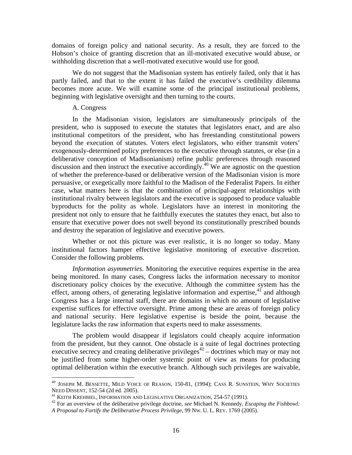domains of foreign policy and national security. As a result, they are forced to the Hobson's choice of granting discretion that an ill-motivated executive would abuse, or withholding discretion that a well-motivated executive would use for good.

We do not suggest that the Madisonian system has entirely failed, only that it has partly failed, and that to the extent it has failed the executive's credibility dilemma becomes more acute. We will examine some of the principal institutional problems, beginning with legislative oversight and then turning to the courts.

#### A. Congress

 $\overline{a}$ 

In the Madisonian vision, legislators are simultaneously principals of the president, who is supposed to execute the statutes that legislators enact, and are also institutional competitors of the president, who has freestanding constitutional powers beyond the execution of statutes. Voters elect legislators, who either transmit voters' exogenously-determined policy preferences to the executive through statutes, or else (in a deliberative conception of Madisonianism) refine public preferences through reasoned discussion and then instruct the executive accordingly.<sup>40</sup> We are agnostic on the question of whether the preference-based or deliberative version of the Madisonian vision is more persuasive, or exegetically more faithful to the Madison of the Federalist Papers. In either case, what matters here is that the combination of principal-agent relationships with institutional rivalry between legislators and the executive is supposed to produce valuable byproducts for the polity as whole. Legislators have an interest in monitoring the president not only to ensure that he faithfully executes the statutes they enact, but also to ensure that executive power does not swell beyond its constitutionally prescribed bounds and destroy the separation of legislative and executive powers.

Whether or not this picture was ever realistic, it is no longer so today. Many institutional factors hamper effective legislative monitoring of executive discretion. Consider the following problems.

*Information asymmetries*. Monitoring the executive requires expertise in the area being monitored. In many cases, Congress lacks the information necessary to monitor discretionary policy choices by the executive. Although the committee system has the effect, among others, of generating legislative information and expertise, $4^1$  and although Congress has a large internal staff, there are domains in which no amount of legislative expertise suffices for effective oversight. Prime among these are areas of foreign policy and national security. Here legislative expertise is beside the point, because the legislature lacks the raw information that experts need to make assessments.

 The problem would disappear if legislators could cheaply acquire information from the president, but they cannot. One obstacle is a suite of legal doctrines protecting executive secrecy and creating deliberative privileges $42 -$  doctrines which may or may not be justified from some higher-order systemic point of view as means for producing optimal deliberation within the executive branch. Although such privileges are waivable,

<sup>40</sup> JOSEPH M. BESSETTE, MILD VOICE OF REASON, 150-81, (1994); CASS R. SUNSTEIN, WHY SOCIETIES NEED DISSENT, 152-54 (2d ed. 2005).<br><sup>41</sup> KEITH KREHBIEL, INFORMATION AND LEGISLATIVE ORGANIZATION, 254-57 (1991).<br><sup>42</sup> For an overview of the deliberative privilege doctrine, *see* Michael N. Kennedy, *Escaping the Fishbow* 

*A Proposal to Fortify the Deliberative Process Privilege*, 99 NW. U. L. REV. 1769 (2005).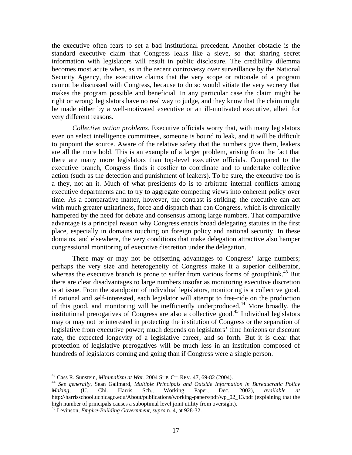the executive often fears to set a bad institutional precedent. Another obstacle is the standard executive claim that Congress leaks like a sieve, so that sharing secret information with legislators will result in public disclosure. The credibility dilemma becomes most acute when, as in the recent controversy over surveillance by the National Security Agency, the executive claims that the very scope or rationale of a program cannot be discussed with Congress, because to do so would vitiate the very secrecy that makes the program possible and beneficial. In any particular case the claim might be right or wrong; legislators have no real way to judge, and they know that the claim might be made either by a well-motivated executive or an ill-motivated executive, albeit for very different reasons.

*Collective action problems*. Executive officials worry that, with many legislators even on select intelligence committees, someone is bound to leak, and it will be difficult to pinpoint the source. Aware of the relative safety that the numbers give them, leakers are all the more bold. This is an example of a larger problem, arising from the fact that there are many more legislators than top-level executive officials. Compared to the executive branch, Congress finds it costlier to coordinate and to undertake collective action (such as the detection and punishment of leakers). To be sure, the executive too is a they, not an it. Much of what presidents do is to arbitrate internal conflicts among executive departments and to try to aggregate competing views into coherent policy over time. As a comparative matter, however, the contrast is striking: the executive can act with much greater unitariness, force and dispatch than can Congress, which is chronically hampered by the need for debate and consensus among large numbers. That comparative advantage is a principal reason why Congress enacts broad delegating statutes in the first place, especially in domains touching on foreign policy and national security. In these domains, and elsewhere, the very conditions that make delegation attractive also hamper congressional monitoring of executive discretion under the delegation.

There may or may not be offsetting advantages to Congress' large numbers; perhaps the very size and heterogeneity of Congress make it a superior deliberator, whereas the executive branch is prone to suffer from various forms of groupthink.<sup>43</sup> But there are clear disadvantages to large numbers insofar as monitoring executive discretion is at issue. From the standpoint of individual legislators, monitoring is a collective good. If rational and self-interested, each legislator will attempt to free-ride on the production of this good, and monitoring will be inefficiently underproduced.<sup>44</sup> More broadly, the institutional prerogatives of Congress are also a collective good.45 Individual legislators may or may not be interested in protecting the institution of Congress or the separation of legislative from executive power; much depends on legislators' time horizons or discount rate, the expected longevity of a legislative career, and so forth. But it is clear that protection of legislative prerogatives will be much less in an institution composed of hundreds of legislators coming and going than if Congress were a single person.

 $43$  Cass R. Sunstein, *Minimalism at War*, 2004 SUP. CT. REV. 47, 69-82 (2004).

<sup>&</sup>lt;sup>44</sup> See generally, Sean Gailmard, *Multiple Principals and Outside Information in Bureaucratic Policy Making*, (U. Chi. Harris Sch., Working Paper, Dec. 2002), *available at* http://harrisschool.uchicago.edu/About/publications/working-papers/pdf/wp\_02\_13.pdf (explaining that the high number of principals causes a suboptimal level joint utility from oversight).

<sup>45</sup> Levinson, *Empire-Building Government*, *supra* n. 4, at 928-32.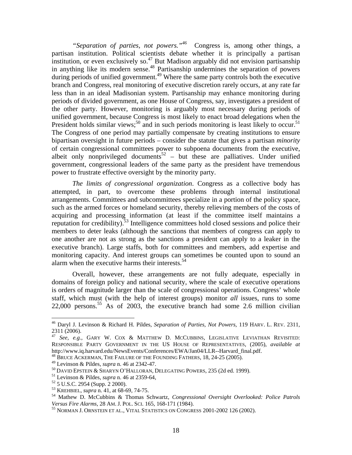*"Separation of parties, not powers."<sup>46</sup>* Congress is, among other things, a partisan institution. Political scientists debate whether it is principally a partisan institution, or even exclusively so.<sup>47</sup> But Madison arguably did not envision partisanship in anything like its modern sense.<sup>48</sup> Partisanship undermines the separation of powers during periods of unified government.<sup>49</sup> Where the same party controls both the executive branch and Congress, real monitoring of executive discretion rarely occurs, at any rate far less than in an ideal Madisonian system. Partisanship may enhance monitoring during periods of divided government, as one House of Congress, say, investigates a president of the other party. However, monitoring is arguably most necessary during periods of unified government, because Congress is most likely to enact broad delegations when the President holds similar views;<sup>50</sup> and in such periods monitoring is least likely to occur.<sup>51</sup> The Congress of one period may partially compensate by creating institutions to ensure bipartisan oversight in future periods – consider the statute that gives a partisan *minority* of certain congressional committees power to subpoena documents from the executive, albeit only nonprivileged documents<sup>52</sup> – but these are palliatives. Under unified government, congressional leaders of the same party as the president have tremendous power to frustrate effective oversight by the minority party.

*The limits of congressional organization*. Congress as a collective body has attempted, in part, to overcome these problems through internal institutional arrangements. Committees and subcommittees specialize in a portion of the policy space, such as the armed forces or homeland security, thereby relieving members of the costs of acquiring and processing information (at least if the committee itself maintains a reputation for credibility).<sup>53</sup> Intelligence committees hold closed sessions and police their members to deter leaks (although the sanctions that members of congress can apply to one another are not as strong as the sanctions a president can apply to a leaker in the executive branch). Large staffs, both for committees and members, add expertise and monitoring capacity. And interest groups can sometimes be counted upon to sound an alarm when the executive harms their interests.<sup>54</sup>

Overall, however, these arrangements are not fully adequate, especially in domains of foreign policy and national security, where the scale of executive operations is orders of magnitude larger than the scale of congressional operations. Congress' whole staff, which must (with the help of interest groups) monitor *all* issues, runs to some 22,000 persons.<sup>55</sup> As of 2003, the executive branch had some 2.6 million civilian

<sup>46</sup> Daryl J. Levinson & Richard H. Pildes, *Separation of Parties, Not Powers,* 119 HARV. L. REV. 2311,  $2311 (2006)$ .<br><sup>47</sup> *See*, *e.*<sup>*o*</sup>.

<sup>47</sup> *See, e.g.*, GARY W. COX & MATTHEW D. MCCUBBINS, LEGISLATIVE LEVIATHAN REVISITED: RESPONSIBLE PARTY GOVERNMENT IN THE US HOUSE OF REPRESENTATIVES, (2005), *available at*

<sup>&</sup>lt;sup>48</sup> BRUCE ACKERMAN, THE FAILURE OF THE FOUNDING FATHERS, 18, 24-25 (2005).<br><sup>49</sup> Levinson & Pildes, *supra* n. 46 at 2342-47.

<sup>&</sup>lt;sup>50</sup> DAVID EPSTEIN & SHARYN O'HALLORAN, DELEGATING POWERS, 235 (2d ed. 1999).<br><sup>51</sup> Levinson & Pildes, *supra* n. 46 at 2359-64,  $52$  5 U.S.C. 2954 (Supp. 2 2000).<br><sup>53</sup> KREHBIEL, *supra* n. 41, at 68-69, 74-75.

<sup>&</sup>lt;sup>54</sup> Mathew D. McCubbins & Thomas Schwartz, *Congressional Oversight Overlooked: Police Patrols Versus Fire Alarms*, 28 Am. J. Pol. Sci. 165, 168-171 (1984).<br><sup>55</sup> Norman J. Ornstein et al., Vital Statistics on Congress 2001-2002 126 (2002).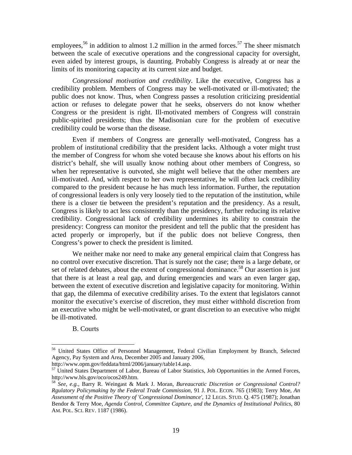employees,<sup>56</sup> in addition to almost 1.2 million in the armed forces.<sup>57</sup> The sheer mismatch between the scale of executive operations and the congressional capacity for oversight, even aided by interest groups, is daunting. Probably Congress is already at or near the limits of its monitoring capacity at its current size and budget.

*Congressional motivation and credibility*. Like the executive, Congress has a credibility problem. Members of Congress may be well-motivated or ill-motivated; the public does not know. Thus, when Congress passes a resolution criticizing presidential action or refuses to delegate power that he seeks, observers do not know whether Congress or the president is right. Ill-motivated members of Congress will constrain public-spirited presidents; thus the Madisonian cure for the problem of executive credibility could be worse than the disease.

Even if members of Congress are generally well-motivated, Congress has a problem of institutional credibility that the president lacks. Although a voter might trust the member of Congress for whom she voted because she knows about his efforts on his district's behalf, she will usually know nothing about other members of Congress, so when her representative is outvoted, she might well believe that the other members are ill-motivated. And, with respect to her own representative, he will often lack credibility compared to the president because he has much less information. Further, the reputation of congressional leaders is only very loosely tied to the reputation of the institution, while there is a closer tie between the president's reputation and the presidency. As a result, Congress is likely to act less consistently than the presidency, further reducing its relative credibility. Congressional lack of credibility undermines its ability to constrain the presidency: Congress can monitor the president and tell the public that the president has acted properly or improperly, but if the public does not believe Congress, then Congress's power to check the president is limited.

 We neither make nor need to make any general empirical claim that Congress has no control over executive discretion. That is surely not the case; there is a large debate, or set of related debates, about the extent of congressional dominance.<sup>58</sup> Our assertion is just that there is at least a real gap, and during emergencies and wars an even larger gap, between the extent of executive discretion and legislative capacity for monitoring. Within that gap, the dilemma of executive credibility arises. To the extent that legislators cannot monitor the executive's exercise of discretion, they must either withhold discretion from an executive who might be well-motivated, or grant discretion to an executive who might be ill-motivated.

B. Courts

<sup>&</sup>lt;sup>56</sup> United States Office of Personnel Management, Federal Civilian Employment by Branch, Selected Agency, Pay System and Area, December 2005 and January 2006,

http://www.opm.gov/feddata/html/2006/january/table14.asp.<br><sup>57</sup> United States Department of Labor, Bureau of Labor Statistics, Job Opportunities in the Armed Forces, http://www.bls.gov/oco/ocos249.htm.

<sup>58</sup> *See, e.g.*, Barry R. Weingast & Mark J. Moran, *Bureaucratic Discretion or Congressional Control? Rgulatory Policymaking by the Federal Trade Commission,* 91 J. POL. ECON. 765 (1983); Terry Moe, *An Assessment of the Positive Theory of 'Congressional Dominance'*, 12 LEGIS. STUD. Q. 475 (1987); Jonathan Bendor & Terry Moe, *Agenda Control, Committee Capture, and the Dynamics of Institutional Politics*, 80 AM. POL. SCI. REV. 1187 (1986).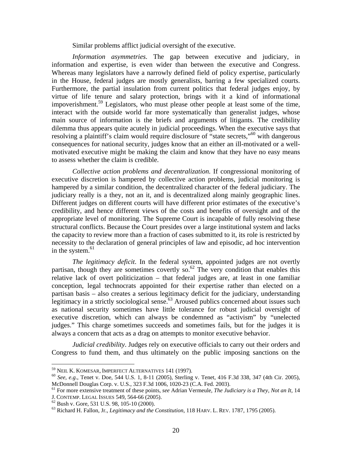Similar problems afflict judicial oversight of the executive.

*Information asymmetries*. The gap between executive and judiciary, in information and expertise, is even wider than between the executive and Congress. Whereas many legislators have a narrowly defined field of policy expertise, particularly in the House, federal judges are mostly generalists, barring a few specialized courts. Furthermore, the partial insulation from current politics that federal judges enjoy, by virtue of life tenure and salary protection, brings with it a kind of informational impoverishment.<sup>59</sup> Legislators, who must please other people at least some of the time, interact with the outside world far more systematically than generalist judges, whose main source of information is the briefs and arguments of litigants. The credibility dilemma thus appears quite acutely in judicial proceedings. When the executive says that resolving a plaintiff's claim would require disclosure of "state secrets,"<sup>60</sup> with dangerous consequences for national security, judges know that an either an ill-motivated or a wellmotivated executive might be making the claim and know that they have no easy means to assess whether the claim is credible.

*Collective action problems and decentralization*. If congressional monitoring of executive discretion is hampered by collective action problems, judicial monitoring is hampered by a similar condition, the decentralized character of the federal judiciary. The judiciary really is a they, not an it, and is decentralized along mainly geographic lines. Different judges on different courts will have different prior estimates of the executive's credibility, and hence different views of the costs and benefits of oversight and of the appropriate level of monitoring. The Supreme Court is incapable of fully resolving these structural conflicts. Because the Court presides over a large institutional system and lacks the capacity to review more than a fraction of cases submitted to it, its role is restricted by necessity to the declaration of general principles of law and episodic, ad hoc intervention in the system.<sup>61</sup>

*The legitimacy deficit*. In the federal system, appointed judges are not overtly partisan, though they are sometimes covertly so.<sup>62</sup> The very condition that enables this relative lack of overt politicization – that federal judges are, at least in one familiar conception, legal technocrats appointed for their expertise rather than elected on a partisan basis – also creates a serious legitimacy deficit for the judiciary, understanding legitimacy in a strictly sociological sense.<sup>63</sup> Aroused publics concerned about issues such as national security sometimes have little tolerance for robust judicial oversight of executive discretion, which can always be condemned as "activism" by "unelected judges." This charge sometimes succeeds and sometimes fails, but for the judges it is always a concern that acts as a drag on attempts to monitor executive behavior.

*Judicial credibility*. Judges rely on executive officials to carry out their orders and Congress to fund them, and thus ultimately on the public imposing sanctions on the

<sup>&</sup>lt;sup>59</sup> NEIL K. KOMESAR, IMPERFECT ALTERNATIVES 141 (1997).

<sup>&</sup>lt;sup>60</sup> See, e.g., Tenet v. Doe, 544 U.S. 1, 8-11 (2005), Sterling v. Tenet, 416 F.3d 338, 347 (4th Cir. 2005), McDonnell Douglas Corp. v. U.S., 323 F.3d 1006, 1020-23 (C.A. Fed. 2003).

<sup>&</sup>lt;sup>61</sup> For more extensive treatment of these points, *see* Adrian Vermeule, *The Judiciary is a They, Not an It,* 14 J. CONTEMP. LEGAL ISSUES 549, 564-66 (2005).

 $^{62}$  Bush v. Gore, 531 U.S. 98, 105-10 (2000).

<sup>63</sup> Richard H. Fallon, Jr., *Legitimacy and the Constitution*, 118 HARV. L. REV. 1787, 1795 (2005).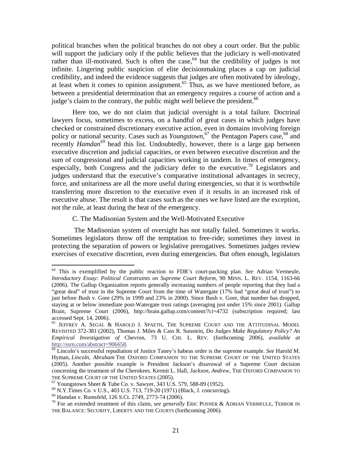political branches when the political branches do not obey a court order. But the public will support the judiciary only if the public believes that the judiciary is well-motivated rather than ill-motivated. Such is often the case,  $64$  but the credibility of judges is not infinite. Lingering public suspicion of elite decisionmaking places a cap on judicial credibility, and indeed the evidence suggests that judges are often motivated by ideology, at least when it comes to opinion assignment.65 Thus, as we have mentioned before, as between a presidential determination that an emergency requires a course of action and a judge's claim to the contrary, the public might well believe the president.<sup>66</sup>

 Here too, we do not claim that judicial oversight is a total failure. Doctrinal lawyers focus, sometimes to excess, on a handful of great cases in which judges have checked or constrained discretionary executive action, even in domains involving foreign policy or national security. Cases such as *Youngstown*,<sup>67</sup> the Pentagon Papers case,<sup>68</sup> and recently *Hamdan<sup>69</sup>* head this list. Undoubtedly, however, there is a large gap between executive discretion and judicial capacities, or even between executive discretion and the sum of congressional and judicial capacities working in tandem. In times of emergency, especially, both Congress and the judiciary defer to the executive.<sup>70</sup> Legislators and judges understand that the executive's comparative institutional advantages in secrecy, force, and unitariness are all the more useful during emergencies, so that it is worthwhile transferring more discretion to the executive even if it results in an increased risk of executive abuse. The result is that cases such as the ones we have listed are the exception, not the rule, at least during the heat of the emergency.

#### C. The Madisonian System and the Well-Motivated Executive

 The Madisonian system of oversight has not totally failed. Sometimes it works. Sometimes legislators throw off the temptation to free-ride; sometimes they invest in protecting the separation of powers or legislative prerogatives. Sometimes judges review exercises of executive discretion, even during emergencies. But often enough, legislators

<sup>64</sup> This is exemplified by the public reaction to FDR's court-packing plan. *See* Adrian Vermeule, *Introductory Essay: Political Constraints on Supreme Court Reform,* 90 MINN. L. REV. 1154, 1163-66 (2006). The Gallup Organization reports generally increasing numbers of people reporting that they had a "great deal" of trust in the Supreme Court from the time of Watergate (17% had "great deal of trust") to just before Bush v. Gore (29% in 1999 and 23% in 2000). Since Bush v. Gore, that number has dropped, staying at or below immediate post-Watergate trust ratings (averaging just under 15% since 2001). Gallup Brain, Supreme Court (2006), http://brain.gallup.com/content/?ci=4732 (subscription required; last accessed Sept. 14, 2006).

<sup>65</sup> JEFFREY A. SEGAL & HAROLD J. SPAETH, THE SUPREME COURT AND THE ATTITUDINAL MODEL REVISITED 372-381 (2002), Thomas J. Miles & Cass R. Sunstein, *Do Judges Make Regulatory Policy? An Empirical Investigation of* Chevron, 73 U. CHI. L. REV. (forthcoming 2006), *available at* http://ssrn.com/abstract=906658.<br><sup>66</sup> Lincoln's successful repudiation of Justice Taney's habeas order is the supreme example. *See* Harold M.

Hyman, *Lincoln, Abraham* THE OXFORD COMPANION TO THE SUPREME COURT OF THE UNITED STATES (2005). Another possible example is President Jackson's disavowal of a Supreme Court decision concerning the treatment of the Cherokees. Kermit L. Hall, *Jackson, Andrew*, THE OXFORD COMPANION TO THE SUPREME COURT OF THE UNITED STATES (2005).<br><sup>67</sup> Youngstown Sheet & Tube Co. v. Sawyer, 343 U.S. 579, 588-89 (1952).

<sup>68</sup> N.Y.Times Co. v U.S., 403 U.S. 713, 719-20 (1971) (Black, J. concurring)**.** 69 Hamdan v. Rumsfeld, 126 S.Ct. 2749, 2773-74 (2006).

<sup>70</sup> For an extended treatment of this claim, *see generally* ERIC POSNER & ADRIAN VERMEULE, TERROR IN THE BALANCE: SECURITY, LIBERTY AND THE COURTS (forthcoming 2006).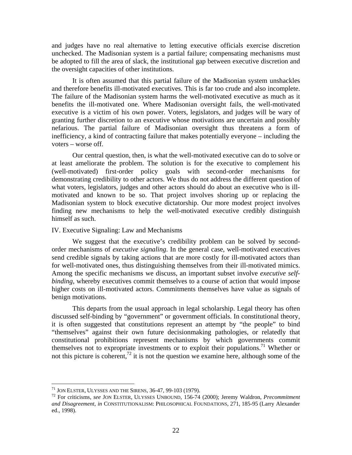and judges have no real alternative to letting executive officials exercise discretion unchecked. The Madisonian system is a partial failure; compensating mechanisms must be adopted to fill the area of slack, the institutional gap between executive discretion and the oversight capacities of other institutions.

It is often assumed that this partial failure of the Madisonian system unshackles and therefore benefits ill-motivated executives. This is far too crude and also incomplete. The failure of the Madisonian system harms the well-motivated executive as much as it benefits the ill-motivated one. Where Madisonian oversight fails, the well-motivated executive is a victim of his own power. Voters, legislators, and judges will be wary of granting further discretion to an executive whose motivations are uncertain and possibly nefarious. The partial failure of Madisonian oversight thus threatens a form of inefficiency, a kind of contracting failure that makes potentially everyone – including the voters – worse off.

Our central question, then, is what the well-motivated executive can do to solve or at least ameliorate the problem. The solution is for the executive to complement his (well-motivated) first-order policy goals with second-order mechanisms for demonstrating credibility to other actors. We thus do not address the different question of what voters, legislators, judges and other actors should do about an executive who is illmotivated and known to be so. That project involves shoring up or replacing the Madisonian system to block executive dictatorship. Our more modest project involves finding new mechanisms to help the well-motivated executive credibly distinguish himself as such.

#### IV. Executive Signaling: Law and Mechanisms

We suggest that the executive's credibility problem can be solved by secondorder mechanisms of *executive signaling*. In the general case, well-motivated executives send credible signals by taking actions that are more costly for ill-motivated actors than for well-motivated ones, thus distinguishing themselves from their ill-motivated mimics. Among the specific mechanisms we discuss, an important subset involve *executive selfbinding*, whereby executives commit themselves to a course of action that would impose higher costs on ill-motivated actors. Commitments themselves have value as signals of benign motivations.

This departs from the usual approach in legal scholarship. Legal theory has often discussed self-binding by "government" or government officials. In constitutional theory, it is often suggested that constitutions represent an attempt by "the people" to bind "themselves" against their own future decisionmaking pathologies, or relatedly that constitutional prohibitions represent mechanisms by which governments commit themselves not to expropriate investments or to exploit their populations.<sup>71</sup> Whether or not this picture is coherent,<sup>72</sup> it is not the question we examine here, although some of the

 $71$  JON ELSTER, ULYSSES AND THE SIRENS, 36-47, 99-103 (1979).

<sup>&</sup>lt;sup>72</sup> For criticisms, *see* JON ELSTER, ULYSSES UNBOUND, 156-74 (2000); Jeremy Waldron, *Precommitment and Disagreement*, *in* CONSTITUTIONALISM: PHILOSOPHICAL FOUNDATIONS, 271, 185-95 (Larry Alexander ed., 1998).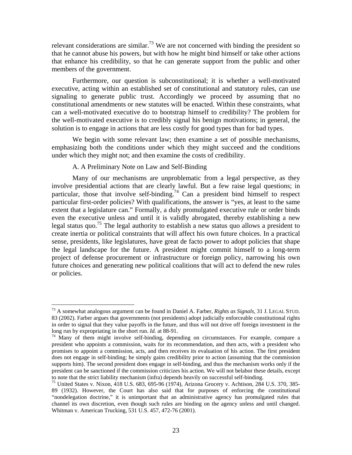relevant considerations are similar.<sup>73</sup> We are not concerned with binding the president so that he cannot abuse his powers, but with how he might bind himself or take other actions that enhance his credibility, so that he can generate support from the public and other members of the government.

Furthermore, our question is subconstitutional; it is whether a well-motivated executive, acting within an established set of constitutional and statutory rules, can use signaling to generate public trust. Accordingly we proceed by assuming that no constitutional amendments or new statutes will be enacted. Within these constraints, what can a well-motivated executive do to bootstrap himself to credibility? The problem for the well-motivated executive is to credibly signal his benign motivations; in general, the solution is to engage in actions that are less costly for good types than for bad types.

We begin with some relevant law; then examine a set of possible mechanisms, emphasizing both the conditions under which they might succeed and the conditions under which they might not; and then examine the costs of credibility.

#### A. A Preliminary Note on Law and Self-Binding

1

Many of our mechanisms are unproblematic from a legal perspective, as they involve presidential actions that are clearly lawful. But a few raise legal questions; in particular, those that involve self-binding.<sup>74</sup> Can a president bind himself to respect particular first-order policies? With qualifications, the answer is "yes, at least to the same extent that a legislature can." Formally, a duly promulgated executive rule or order binds even the executive unless and until it is validly abrogated, thereby establishing a new legal status quo.<sup>75</sup> The legal authority to establish a new status quo allows a president to create inertia or political constraints that will affect his own future choices. In a practical sense, presidents, like legislatures, have great de facto power to adopt policies that shape the legal landscape for the future. A president might commit himself to a long-term project of defense procurement or infrastructure or foreign policy, narrowing his own future choices and generating new political coalitions that will act to defend the new rules or policies.

<sup>73</sup> A somewhat analogous argument can be found in Daniel A. Farber, *Rights as Signals*, 31 J. LEGAL STUD. 83 (2002). Farber argues that governments (not presidents) adopt judicially enforceable constitutional rights in order to signal that they value payoffs in the future, and thus will not drive off foreign investment in the long run by expropriating in the short run.  $Id$ . at  $88-91$ .

<sup>&</sup>lt;sup>74</sup> Many of them might involve self-binding, depending on circumstances. For example, compare a president who appoints a commission, waits for its recommendation, and then acts, with a president who promises to appoint a commission, acts, and then receives its evaluation of his action. The first president does not engage in self-binding; he simply gains credibility prior to action (assuming that the commission supports him). The second president does engage in self-binding, and thus the mechanism works only if the president can be sanctioned if the commission criticizes his action. We will not belabor these details, except to note that the strict liability mechanism (infra) depends heavily on successful self-binding.<br><sup>75</sup> United States v. Nixon, 418 U.S. 683, 695-96 (1974), Arizona Grocery v. Achtison, 284 U.S. 370, 385-

<sup>89 (1932).</sup> However, the Court has also said that for purposes of enforcing the constitutional "nondelegation doctrine," it is unimportant that an administrative agency has promulgated rules that channel its own discretion, even though such rules are binding on the agency unless and until changed. Whitman v. American Trucking, 531 U.S. 457, 472-76 (2001).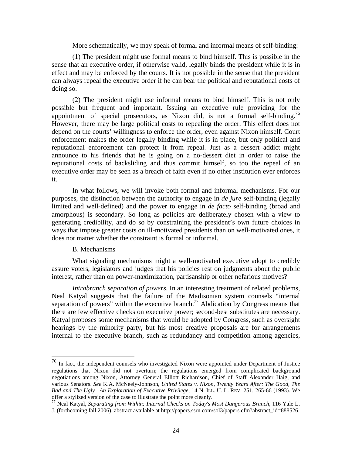More schematically, we may speak of formal and informal means of self-binding:

(1) The president might use formal means to bind himself. This is possible in the sense that an executive order, if otherwise valid, legally binds the president while it is in effect and may be enforced by the courts. It is not possible in the sense that the president can always repeal the executive order if he can bear the political and reputational costs of doing so.

(2) The president might use informal means to bind himself. This is not only possible but frequent and important. Issuing an executive rule providing for the appointment of special prosecutors, as Nixon did, is not a formal self-binding.<sup>76</sup> However, there may be large political costs to repealing the order. This effect does not depend on the courts' willingness to enforce the order, even against Nixon himself. Court enforcement makes the order legally binding while it is in place, but only political and reputational enforcement can protect it from repeal. Just as a dessert addict might announce to his friends that he is going on a no-dessert diet in order to raise the reputational costs of backsliding and thus commit himself, so too the repeal of an executive order may be seen as a breach of faith even if no other institution ever enforces it.

In what follows, we will invoke both formal and informal mechanisms. For our purposes, the distinction between the authority to engage in *de jure* self-binding (legally limited and well-defined) and the power to engage in *de facto* self-binding (broad and amorphous) is secondary. So long as policies are deliberately chosen with a view to generating credibility, and do so by constraining the president's own future choices in ways that impose greater costs on ill-motivated presidents than on well-motivated ones, it does not matter whether the constraint is formal or informal.

#### B. Mechanisms

 $\overline{a}$ 

What signaling mechanisms might a well-motivated executive adopt to credibly assure voters, legislators and judges that his policies rest on judgments about the public interest, rather than on power-maximization, partisanship or other nefarious motives?

*Intrabranch separation of powers.* In an interesting treatment of related problems, Neal Katyal suggests that the failure of the Madisonian system counsels "internal separation of powers" within the executive branch.<sup>77</sup> Abdication by Congress means that there are few effective checks on executive power; second-best substitutes are necessary. Katyal proposes some mechanisms that would be adopted by Congress, such as oversight hearings by the minority party, but his most creative proposals are for arrangements internal to the executive branch, such as redundancy and competition among agencies,

<sup>&</sup>lt;sup>76</sup> In fact, the independent counsels who investigated Nixon were appointed under Department of Justice regulations that Nixon did not overturn; the regulations emerged from complicated background negotiations among Nixon, Attorney General Elliott Richardson, Chief of Staff Alexander Haig, and various Senators. *See* K.A. McNeely-Johnson, *United States v. Nixon, Twenty Years After: The Good, The Bad and The Ugly –An Exploration of Executive Privilege*, 14 N. ILL. U. L. REV. 251, 265-66 (1993). We offer a stylized version of the case to illustrate the point more cleanly.

<sup>77</sup> Neal Katyal, *Separating from Within: Internal Checks on Today's Most Dangerous Branch*, 116 Yale L.

J. (forthcoming fall 2006), abstract available at http://papers.ssrn.com/sol3/papers.cfm?abstract\_id=888526.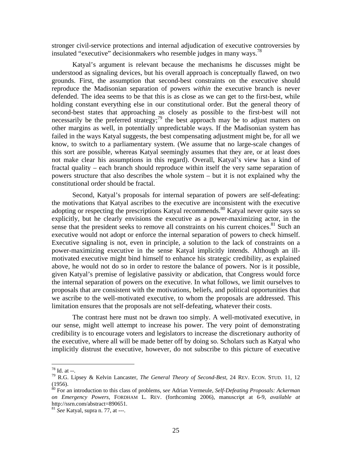stronger civil-service protections and internal adjudication of executive controversies by insulated "executive" decisionmakers who resemble judges in many ways.<sup>78</sup>

Katyal's argument is relevant because the mechanisms he discusses might be understood as signaling devices, but his overall approach is conceptually flawed, on two grounds. First, the assumption that second-best constraints on the executive should reproduce the Madisonian separation of powers *within* the executive branch is never defended. The idea seems to be that this is as close as we can get to the first-best, while holding constant everything else in our constitutional order. But the general theory of second-best states that approaching as closely as possible to the first-best will not necessarily be the preferred strategy;<sup>79</sup> the best approach may be to adjust matters on other margins as well, in potentially unpredictable ways. If the Madisonian system has failed in the ways Katyal suggests, the best compensating adjustment might be, for all we know, to switch to a parliamentary system. (We assume that no large-scale changes of this sort are possible, whereas Katyal seemingly assumes that they are, or at least does not make clear his assumptions in this regard). Overall, Katyal's view has a kind of fractal quality – each branch should reproduce within itself the very same separation of powers structure that also describes the whole system – but it is not explained why the constitutional order should be fractal.

Second, Katyal's proposals for internal separation of powers are self-defeating: the motivations that Katyal ascribes to the executive are inconsistent with the executive adopting or respecting the prescriptions Katyal recommends.<sup>80</sup> Katyal never quite says so explicitly, but he clearly envisions the executive as a power-maximizing actor, in the sense that the president seeks to remove all constraints on his current choices.<sup>81</sup> Such an executive would not adopt or enforce the internal separation of powers to check himself. Executive signaling is not, even in principle, a solution to the lack of constraints on a power-maximizing executive in the sense Katyal implicitly intends. Although an illmotivated executive might bind himself to enhance his strategic credibility, as explained above, he would not do so in order to restore the balance of powers. Nor is it possible, given Katyal's premise of legislative passivity or abdication, that Congress would force the internal separation of powers on the executive. In what follows, we limit ourselves to proposals that are consistent with the motivations, beliefs, and political opportunities that we ascribe to the well-motivated executive, to whom the proposals are addressed. This limitation ensures that the proposals are not self-defeating, whatever their costs.

The contrast here must not be drawn too simply. A well-motivated executive, in our sense, might well attempt to increase his power. The very point of demonstrating credibility is to encourage voters and legislators to increase the discretionary authority of the executive, where all will be made better off by doing so. Scholars such as Katyal who implicitly distrust the executive, however, do not subscribe to this picture of executive

<u>.</u>

 $78$  Id. at --.

<sup>79</sup> R.G. Lipsey & Kelvin Lancaster, *The General Theory of Second-Best*, 24 REV. ECON. STUD. 11, 12 (1956).

<sup>80</sup> For an introduction to this class of problems, s*ee* Adrian Vermeule, *Self-Defeating Proposals: Ackerman on Emergency Powers*, FORDHAM L. REV. (forthcoming 2006), manuscript at 6-9, *available at*  http://ssrn.com/abstract=890651.

<sup>81</sup> *See* Katyal, supra n. 77, at ---.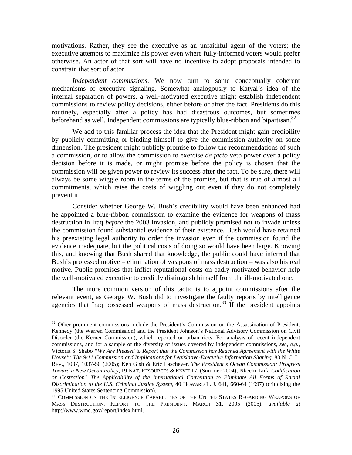motivations. Rather, they see the executive as an unfaithful agent of the voters; the executive attempts to maximize his power even where fully-informed voters would prefer otherwise. An actor of that sort will have no incentive to adopt proposals intended to constrain that sort of actor.

*Independent commissions*. We now turn to some conceptually coherent mechanisms of executive signaling. Somewhat analogously to Katyal's idea of the internal separation of powers, a well-motivated executive might establish independent commissions to review policy decisions, either before or after the fact. Presidents do this routinely, especially after a policy has had disastrous outcomes, but sometimes beforehand as well. Independent commissions are typically blue-ribbon and bipartisan.<sup>82</sup>

We add to this familiar process the idea that the President might gain credibility by publicly committing or binding himself to give the commission authority on some dimension. The president might publicly promise to follow the recommendations of such a commission, or to allow the commission to exercise *de facto* veto power over a policy decision before it is made, or might promise before the policy is chosen that the commission will be given power to review its success after the fact. To be sure, there will always be some wiggle room in the terms of the promise, but that is true of almost all commitments, which raise the costs of wiggling out even if they do not completely prevent it.

Consider whether George W. Bush's credibility would have been enhanced had he appointed a blue-ribbon commission to examine the evidence for weapons of mass destruction in Iraq *before* the 2003 invasion, and publicly promised not to invade unless the commission found substantial evidence of their existence. Bush would have retained his preexisting legal authority to order the invasion even if the commission found the evidence inadequate, but the political costs of doing so would have been large. Knowing this, and knowing that Bush shared that knowledge, the public could have inferred that Bush's professed motive – elimination of weapons of mass destruction – was also his real motive. Public promises that inflict reputational costs on badly motivated behavior help the well-motivated executive to credibly distinguish himself from the ill-motivated one.

The more common version of this tactic is to appoint commissions after the relevant event, as George W. Bush did to investigate the faulty reports by intelligence agencies that Iraq possessed weapons of mass destruction.<sup>83</sup> If the president appoints

1

<sup>&</sup>lt;sup>82</sup> Other prominent commissions include the President's Commission on the Assassination of President. Kennedy (the Warren Commission) and the President Johnson's National Advisory Commission on Civil Disorder (the Kerner Commission), which reported on urban riots. For analysis of recent independent commissions, and for a sample of the diversity of issues covered by independent commissions, *see, e.g.*, Victoria S. Shabo *"We Are Pleased to Report that the Commission has Reached Agreement with the White House": The 9/11 Commission and Implications for Legislative-Executive Information Sharing,* 83 N. C. L. REV., 1037, 1037-50 (2005); Ken Gish & Eric Laschever, *The President's Ocean Commission: Progress Toward a New Ocean Policy*, 19 NAT. RESOURCES & ENV'T 17, (Summer 2004); Nkechi Taifa *Codification or Castration? The Applicability of the International Convention to Eliminate All Forms of Racial Discrimination to the U.S. Criminal Justice System*, 40 HOWARD L. J. 641, 660-64 (1997) (criticizing the 1995 United States Sentencing Commission).

<sup>83</sup> COMMISSION ON THE INTELLIGENCE CAPABILITIES OF THE UNITED STATES REGARDING WEAPONS OF MASS DESTRUCTION, REPORT TO THE PRESIDENT, MARCH 31, 2005 (2005), *available at* http://www.wmd.gov/report/index.html.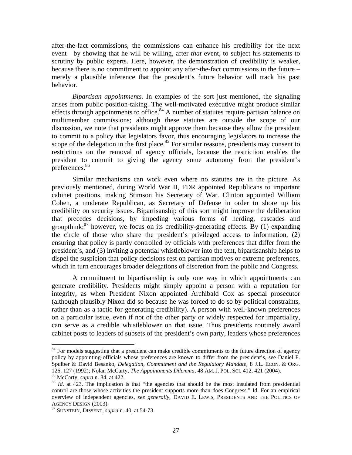after-the-fact commissions, the commissions can enhance his credibility for the next event—by showing that he will be willing, after *that* event, to subject his statements to scrutiny by public experts. Here, however, the demonstration of credibility is weaker, because there is no commitment to appoint any after-the-fact commissions in the future – merely a plausible inference that the president's future behavior will track his past behavior.

*Bipartisan appointments.* In examples of the sort just mentioned, the signaling arises from public position-taking. The well-motivated executive might produce similar effects through appointments to office.<sup>84</sup> A number of statutes require partisan balance on multimember commissions; although these statutes are outside the scope of our discussion, we note that presidents might approve them because they allow the president to commit to a policy that legislators favor, thus encouraging legislators to increase the scope of the delegation in the first place.<sup>85</sup> For similar reasons, presidents may consent to restrictions on the removal of agency officials, because the restriction enables the president to commit to giving the agency some autonomy from the president's preferences.<sup>86</sup>

Similar mechanisms can work even where no statutes are in the picture. As previously mentioned, during World War II, FDR appointed Republicans to important cabinet positions, making Stimson his Secretary of War. Clinton appointed William Cohen, a moderate Republican, as Secretary of Defense in order to shore up his credibility on security issues. Bipartisanship of this sort might improve the deliberation that precedes decisions, by impeding various forms of herding, cascades and groupthink;<sup>87</sup> however, we focus on its credibility-generating effects. By (1) expanding the circle of those who share the president's privileged access to information, (2) ensuring that policy is partly controlled by officials with preferences that differ from the president's, and (3) inviting a potential whistleblower into the tent, bipartisanship helps to dispel the suspicion that policy decisions rest on partisan motives or extreme preferences, which in turn encourages broader delegations of discretion from the public and Congress.

A commitment to bipartisanship is only one way in which appointments can generate credibility. Presidents might simply appoint a person with a reputation for integrity, as when President Nixon appointed Archibald Cox as special prosecutor (although plausibly Nixon did so because he was forced to do so by political constraints, rather than as a tactic for generating credibility). A person with well-known preferences on a particular issue, even if not of the other party or widely respected for impartiality, can serve as a credible whistleblower on that issue. Thus presidents routinely award cabinet posts to leaders of subsets of the president's own party, leaders whose preferences

 $84$  For models suggesting that a president can make credible commitments to the future direction of agency policy by appointing officials whose preferences are known to differ from the president's, see Daniel F. Spulber & David Besanko, *Delegation, Commitment and the Regulatory Mandate*, 8 J.L. ECON. & ORG. 126, 127 (1992); Nolan McCarty, *The Appointments Dilemma*, 48 AM. J. Pol. ScI. 412, 421 (2004).<br><sup>85</sup> McCarty, *supra* n. 84, at 422.<br><sup>86</sup> *Id.* at 423. The implication is that "the agencies that should be the most insula

control are those whose activities the president supports more than does Congress." Id. For an empirical overview of independent agencies, *see generally,* DAVID E. LEWIS, PRESIDENTS AND THE POLITICS OF AGENCY DESIGN (2003). 87 SUNSTEIN, DISSENT, *supra* n. 40, at 54-73.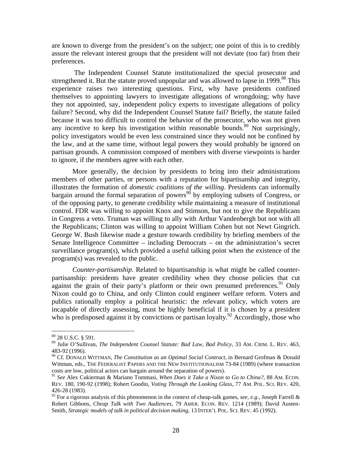are known to diverge from the president's on the subject; one point of this is to credibly assure the relevant interest groups that the president will not deviate (too far) from their preferences.

 The Independent Counsel Statute institutionalized the special prosecutor and strengthened it. But the statute proved unpopular and was allowed to lapse in 1999.<sup>88</sup> This experience raises two interesting questions. First, why have presidents confined themselves to appointing lawyers to investigate allegations of wrongdoing; why have they not appointed, say, independent policy experts to investigate allegations of policy failure? Second, why did the Independent Counsel Statute fail? Briefly, the statute failed because it was too difficult to control the behavior of the prosecutor, who was not given any incentive to keep his investigation within reasonable bounds.<sup>89</sup> Not surprisingly, policy investigators would be even less constrained since they would not be confined by the law, and at the same time, without legal powers they would probably be ignored on partisan grounds. A commission composed of members with diverse viewpoints is harder to ignore, if the members agree with each other.

More generally, the decision by presidents to bring into their administrations members of other parties, or persons with a reputation for bipartisanship and integrity, illustrates the formation of *domestic coalitions of the willing*. Presidents can informally bargain around the formal separation of powers<sup>90</sup> by employing subsets of Congress, or of the opposing party, to generate credibility while maintaining a measure of institutional control. FDR was willing to appoint Knox and Stimson, but not to give the Republicans in Congress a veto. Truman was willing to ally with Arthur Vandenbergh but not with all the Republicans; Clinton was willing to appoint William Cohen but not Newt Gingrich. George W. Bush likewise made a gesture towards credibility by briefing members of the Senate Intelligence Committee – including Democrats – on the administration's secret surveillance program(s), which provided a useful talking point when the existence of the program(s) was revealed to the public.

*Counter-partisanship*. Related to bipartisanship is what might be called counterpartisanship: presidents have greater credibility when they choose policies that cut against the grain of their party's platform or their own presumed preferences.<sup>91</sup> Only Nixon could go to China, and only Clinton could engineer welfare reform. Voters and publics rationally employ a political heuristic: the relevant policy, which voters are incapable of directly assessing, must be highly beneficial if it is chosen by a president who is predisposed against it by convictions or partisan loyalty.<sup>92</sup> Accordingly, those who

<sup>88 28</sup> U.S.C. § 591.

<sup>89</sup> Julie O'Sullivan, *The Independent Counsel Statute: Bad Law, Bad Policy*, 33 AM. CRIM. L. REV. 463, 483-92 (1996).

<sup>90</sup> Cf. DONALD WITTMAN, *The Constitution as an Optimal Social Contract*, in Bernard Grofman & Donald Wittman, eds., THE FEDERALIST PAPERS AND THE NEW INSTITUTIONALISM 73-84 (1989) (where transaction costs are low, political actors can bargain around the separation of powers).

<sup>91</sup> *See* Alex Cukierman & Mariano Tommasi, *When Does it Take a Nixon to Go to China?*, 88 AM. ECON. REV. 180, 190-92 (1998); Robert Goodin, *Voting Through the Looking Glass*, 77 AM. POL. SCI. REV. 420, 426-28 (1983).

<sup>&</sup>lt;sup>92</sup> For a rigorous analysis of this phenomenon in the context of cheap-talk games, *see, e.g.*, Joseph Farrell & Robert Gibbons, *Cheap Talk with Two Audiences*, 79 AMER. ECON. REV. 1214 (1989); David Austen-Smith, *Strategic models of talk in political decision making*, 13 INTER'L POL. SCI. REV. 45 (1992).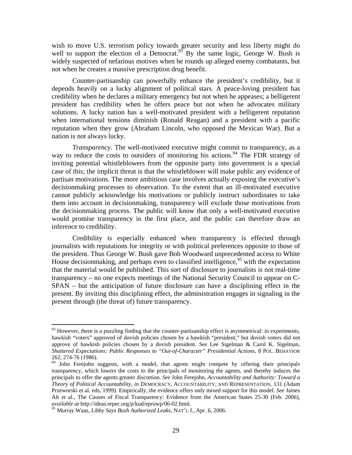wish to move U.S. terrorism policy towards greater security and less liberty might do well to support the election of a Democrat.<sup>93</sup> By the same logic, George W. Bush is widely suspected of nefarious motives when he rounds up alleged enemy combatants, but not when he creates a massive prescription drug benefit.

Counter-partisanship can powerfully enhance the president's credibility, but it depends heavily on a lucky alignment of political stars. A peace-loving president has credibility when he declares a military emergency but not when he appeases; a belligerent president has credibility when he offers peace but not when he advocates military solutions. A lucky nation has a well-motivated president with a belligerent reputation when international tensions diminish (Ronald Reagan) and a president with a pacific reputation when they grow (Abraham Lincoln, who opposed the Mexican War). But a nation is not always lucky.

*Transparency*. The well-motivated executive might commit to transparency, as a way to reduce the costs to outsiders of monitoring his actions.<sup>94</sup> The FDR strategy of inviting potential whistleblowers from the opposite party into government is a special case of this; the implicit threat is that the whistleblower will make public any evidence of partisan motivations. The more ambitious case involves actually exposing the executive's decisionmaking processes to observation. To the extent that an ill-motivated executive cannot publicly acknowledge his motivations or publicly instruct subordinates to take them into account in decisionmaking, transparency will exclude those motivations from the decisionmaking process. The public will know that only a well-motivated executive would promise transparency in the first place, and the public can therefore draw an inference to credibility.

Credibility is especially enhanced when transparency is effected through journalists with reputations for integrity or with political preferences opposite to those of the president. Thus George W. Bush gave Bob Woodward unprecedented access to White House decision making, and perhaps even to classified intelligence,  $95$  with the expectation that the material would be published. This sort of disclosure to journalists is not real-time transparency – no one expects meetings of the National Security Council to appear on C-SPAN – but the anticipation of future disclosure can have a disciplining effect in the present. By inviting this disciplining effect, the administration engages in signaling in the present through (the threat of) future transparency.

 $93$  However, there is a puzzling finding that the counter-partisanship effect is asymmetrical: in experiments, hawkish "voters" approved of dovish policies chosen by a hawkish "president," but dovish voters did not approve of hawkish policies chosen by a dovish president. *See* Lee Sigelman & Carol K. Sigelman, *Shattered Expectations: Public Responses to "Out-of-Character" Presidential Actions*, 8 POL. BEHAVIOR 262, 274-76 (1986).

<sup>&</sup>lt;sup>94</sup> John Ferejohn suggests, with a model, that agents might compete by offering their principals transparency, which lowers the costs to the principals of monitoring the agents, and thereby induces the principals to offer the agents greater discretion. *See* John Ferejohn, *Accountability and Authority: Toward a Theory of Political Accountability*, *in* DEMOCRACY, ACCOUNTABILITY, AND REPRESENTATION, 131 (Adam Przeworski et al. eds, 1999). Empirically, the evidence offers only mixed support for this model. *See* James Alt et al., The Causes of Fiscal Transparency: Evidence from the American States 25-30 (Feb. 2006), *available at* http://ideas.repec.org/p/kud/epruwp/06-02.html.

<sup>95</sup> Murray Waas, *Libby Says Bush Authorized Leaks*, NAT'L J., Apr. 6, 2006.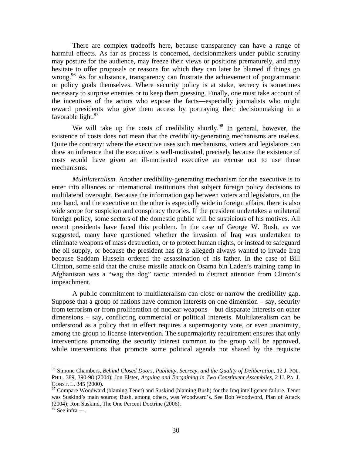There are complex tradeoffs here, because transparency can have a range of harmful effects. As far as process is concerned, decisionmakers under public scrutiny may posture for the audience, may freeze their views or positions prematurely, and may hesitate to offer proposals or reasons for which they can later be blamed if things go wrong.<sup>96</sup> As for substance, transparency can frustrate the achievement of programmatic or policy goals themselves. Where security policy is at stake, secrecy is sometimes necessary to surprise enemies or to keep them guessing. Finally, one must take account of the incentives of the actors who expose the facts—especially journalists who might reward presidents who give them access by portraying their decisionmaking in a favorable light.<sup>97</sup>

We will take up the costs of credibility shortly.<sup>98</sup> In general, however, the existence of costs does not mean that the credibility-generating mechanisms are useless. Quite the contrary: where the executive uses such mechanisms, voters and legislators can draw an inference that the executive is well-motivated, precisely because the existence of costs would have given an ill-motivated executive an excuse not to use those mechanisms.

*Multilateralism*. Another credibility-generating mechanism for the executive is to enter into alliances or international institutions that subject foreign policy decisions to multilateral oversight. Because the information gap between voters and legislators, on the one hand, and the executive on the other is especially wide in foreign affairs, there is also wide scope for suspicion and conspiracy theories. If the president undertakes a unilateral foreign policy, some sectors of the domestic public will be suspicious of his motives. All recent presidents have faced this problem. In the case of George W. Bush, as we suggested, many have questioned whether the invasion of Iraq was undertaken to eliminate weapons of mass destruction, or to protect human rights, or instead to safeguard the oil supply, or because the president has (it is alleged) always wanted to invade Iraq because Saddam Hussein ordered the assassination of his father. In the case of Bill Clinton, some said that the cruise missile attack on Osama bin Laden's training camp in Afghanistan was a "wag the dog" tactic intended to distract attention from Clinton's impeachment.

A public commitment to multilateralism can close or narrow the credibility gap. Suppose that a group of nations have common interests on one dimension – say, security from terrorism or from proliferation of nuclear weapons – but disparate interests on other dimensions – say, conflicting commercial or political interests. Multilateralism can be understood as a policy that in effect requires a supermajority vote, or even unanimity, among the group to license intervention. The supermajority requirement ensures that only interventions promoting the security interest common to the group will be approved, while interventions that promote some political agenda not shared by the requisite

<sup>96</sup> Simone Chambers, *Behind Closed Doors, Publicity, Secrecy, and the Quality of Deliberation*, 12 J. POL. PHIL. 389, 390-98 (2004); Jon Elster, *Arguing and Bargaining in Two Constituent Assemblies*, 2 U. PA. J. CONST. L. 345 (2000). 97 Compare Woodward (blaming Tenet) and Suskind (blaming Bush) for the Iraq intelligence failure. Tenet

was Suskind's main source; Bush, among others, was Woodward's. See Bob Woodword, Plan of Attack (2004); Ron Suskind, The One Percent Doctrine (2006).

<sup>&</sup>lt;sup>98</sup> See infra ---.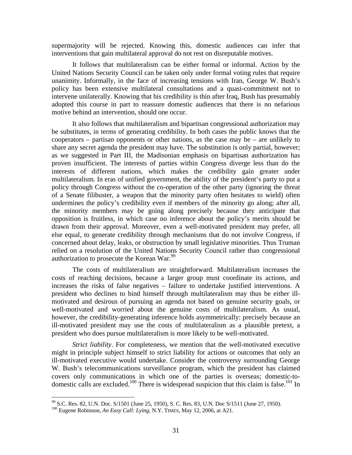supermajority will be rejected. Knowing this, domestic audiences can infer that interventions that gain multilateral approval do not rest on disreputable motives.

It follows that multilateralism can be either formal or informal. Action by the United Nations Security Council can be taken only under formal voting rules that require unanimity. Informally, in the face of increasing tensions with Iran, George W. Bush's policy has been extensive multilateral consultations and a quasi-commitment not to intervene unilaterally. Knowing that his credibility is thin after Iraq, Bush has presumably adopted this course in part to reassure domestic audiences that there is no nefarious motive behind an intervention, should one occur.

It also follows that multilateralism and bipartisan congressional authorization may be substitutes, in terms of generating credibility. In both cases the public knows that the cooperators – partisan opponents or other nations, as the case may be – are unlikely to share any secret agenda the president may have. The substitution is only partial, however; as we suggested in Part III, the Madisonian emphasis on bipartisan authorization has proven insufficient. The interests of parties within Congress diverge less than do the interests of different nations, which makes the credibility gain greater under multilateralism. In eras of unified government, the ability of the president's party to put a policy through Congress without the co-operation of the other party (ignoring the threat of a Senate filibuster, a weapon that the minority party often hesitates to wield) often undermines the policy's credibility even if members of the minority go along; after all, the minority members may be going along precisely because they anticipate that opposition is fruitless, in which case no inference about the policy's merits should be drawn from their approval. Moreover, even a well-motivated president may prefer, all else equal, to generate credibility through mechanisms that do not involve Congress, if concerned about delay, leaks, or obstruction by small legislative minorities. Thus Truman relied on a resolution of the United Nations Security Council rather than congressional authorization to prosecute the Korean War.<sup>99</sup>

The costs of multilateralism are straightforward. Multilateralism increases the costs of reaching decisions, because a larger group must coordinate its actions, and increases the risks of false negatives – failure to undertake justified interventions. A president who declines to bind himself through multilateralism may thus be either illmotivated and desirous of pursuing an agenda not based on genuine security goals, or well-motivated and worried about the genuine costs of multilateralism. As usual, however, the credibility-generating inference holds asymmetrically: precisely because an ill-motivated president may use the costs of multilateralism as a plausible pretext, a president who does pursue multilateralism is more likely to be well-motivated.

*Strict liability*. For completeness, we mention that the well-motivated executive might in principle subject himself to strict liability for actions or outcomes that only an ill-motivated executive would undertake. Consider the controversy surrounding George W. Bush's telecommunications surveillance program, which the president has claimed covers only communications in which one of the parties is overseas; domestic-todomestic calls are excluded.<sup>100</sup> There is widespread suspicion that this claim is false.<sup>101</sup> In

1

<sup>&</sup>lt;sup>99</sup> S.C. Res. 82, U.N. Doc. S/1501 (June 25, 1950), S. C. Res. 83, U.N. Doc S/1511 (June 27, 1950). <sup>100</sup> Eugene Robinson, *An Easy Call: Lying*, N.Y. TIMES, May 12, 2006, at A21.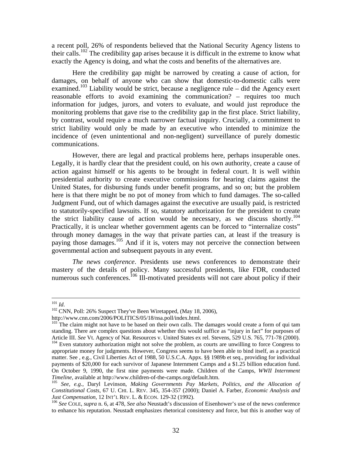a recent poll, 26% of respondents believed that the National Security Agency listens to their calls.102 The credibility gap arises because it is difficult in the extreme to know what exactly the Agency is doing, and what the costs and benefits of the alternatives are.

Here the credibility gap might be narrowed by creating a cause of action, for damages, on behalf of anyone who can show that domestic-to-domestic calls were examined.<sup>103</sup> Liability would be strict, because a negligence rule – did the Agency exert reasonable efforts to avoid examining the communication? – requires too much information for judges, jurors, and voters to evaluate, and would just reproduce the monitoring problems that gave rise to the credibility gap in the first place. Strict liability, by contrast, would require a much narrower factual inquiry. Crucially, a commitment to strict liability would only be made by an executive who intended to minimize the incidence of (even unintentional and non-negligent) surveillance of purely domestic communications.

However, there are legal and practical problems here, perhaps insuperable ones. Legally, it is hardly clear that the president could, on his own authority, create a cause of action against himself or his agents to be brought in federal court. It is well within presidential authority to create executive commissions for hearing claims against the United States, for disbursing funds under benefit programs, and so on; but the problem here is that there might be no pot of money from which to fund damages. The so-called Judgment Fund, out of which damages against the executive are usually paid, is restricted to statutorily-specified lawsuits. If so, statutory authorization for the president to create the strict liability cause of action would be necessary, as we discuss shortly.<sup>104</sup> Practically, it is unclear whether government agents can be forced to "internalize costs" through money damages in the way that private parties can, at least if the treasury is paying those damages.105 And if it is, voters may not perceive the connection between governmental action and subsequent payouts in any event.

*The news conference*. Presidents use news conferences to demonstrate their mastery of the details of policy. Many successful presidents, like FDR, conducted numerous such conferences.<sup>106</sup> Ill-motivated presidents will not care about policy if their

<sup>&</sup>lt;sup>101</sup> *Id.* (*Inc. 26%* Suspect They've Been Wiretapped, (May 18, 2006), http://www.cnn.com/2006/POLITICS/05/18/nsa.poll/index.html.

 $\frac{103}{103}$  The claim might not have to be based on their own calls. The damages would create a form of qui tam standing. There are complex questions about whether this would suffice as "injury in fact" for purposes of Article III. *See* Vt. Agency of Nat. Resources v. United States ex rel. Stevens, 529 U.S. 765, 771-78 (2000). <sup>104</sup> Even statutory authorization might not solve the problem, as courts are unwilling to force Congress to

appropriate money for judgments. However, Congress seems to have been able to bind itself, as a practical matter. See , e.g., Civil Liberties Act of 1988, 50 U.S.C.A. Appx. §§ 1989b et seq., providing for individual payments of \$20,000 for each survivor of Japanese Internment Camps and a \$1.25 billion education fund. On October 9, 1990, the first nine payments were made. Children of the Camps, *WWII Internment* 

<sup>&</sup>lt;sup>105</sup> See, e.g., Daryl Levinson, *Making Governments Pay Markets, Politics, and the Allocation of Constitutional Costs*, 67 U. CHI. L. REV. 345, 354-357 (2000); Daniel A. Farber, *Economic Analysis and* 

*Just Compensation*, 12 Interver. **1299** (1992). The set also Neustadt's discussion of Eisenhower's use of the news conference to enhance his reputation. Neustadt emphasizes rhetorical consistency and force, but this is another way of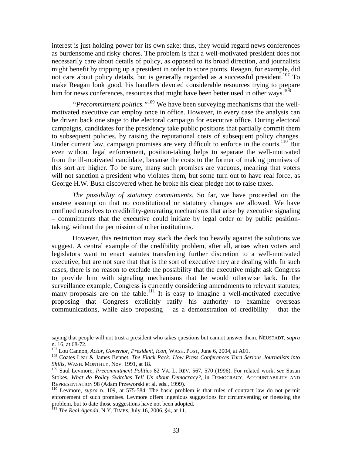interest is just holding power for its own sake; thus, they would regard news conferences as burdensome and risky chores. The problem is that a well-motivated president does not necessarily care about details of policy, as opposed to its broad direction, and journalists might benefit by tripping up a president in order to score points. Reagan, for example, did not care about policy details, but is generally regarded as a successful president.<sup>107</sup> To make Reagan look good, his handlers devoted considerable resources trying to prepare him for news conferences, resources that might have been better used in other ways.<sup>108</sup>

*"Precommitment politics."*109 We have been surveying mechanisms that the wellmotivated executive can employ once in office. However, in every case the analysis can be driven back one stage to the electoral campaign for executive office. During electoral campaigns, candidates for the presidency take public positions that partially commit them to subsequent policies, by raising the reputational costs of subsequent policy changes. Under current law, campaign promises are very difficult to enforce in the courts.<sup>110</sup> But even without legal enforcement, position-taking helps to separate the well-motivated from the ill-motivated candidate, because the costs to the former of making promises of this sort are higher. To be sure, many such promises are vacuous, meaning that voters will not sanction a president who violates them, but some turn out to have real force, as George H.W. Bush discovered when he broke his clear pledge not to raise taxes.

*The possibility of statutory commitments*. So far, we have proceeded on the austere assumption that no constitutional or statutory changes are allowed. We have confined ourselves to credibility-generating mechanisms that arise by executive signaling – commitments that the executive could initiate by legal order or by public positiontaking, without the permission of other institutions.

However, this restriction may stack the deck too heavily against the solutions we suggest. A central example of the credibility problem, after all, arises when voters and legislators want to enact statutes transferring further discretion to a well-motivated executive, but are not sure that that is the sort of executive they are dealing with. In such cases, there is no reason to exclude the possibility that the executive might ask Congress to provide him with signaling mechanisms that he would otherwise lack. In the surveillance example, Congress is currently considering amendments to relevant statutes; many proposals are on the table.<sup>111</sup> It is easy to imagine a well-motivated executive proposing that Congress explicitly ratify his authority to examine overseas communications, while also proposing – as a demonstration of credibility – that the

saying that people will not trust a president who takes questions but cannot answer them. NEUSTADT, *supra* n. 16, at 68-72.<br><sup>107</sup> Lou Cannon, *Actor, Governor, President, Icon*, WASH. POST, June 6, 2004, at A01.

<sup>&</sup>lt;sup>108</sup> Coates Lear & James Bennet, *The Flack Pack: How Press Conferences Turn Serious Journalists into Shills*, WASH. MONTHLY, Nov. 1991, at 18.

<sup>109</sup> Saul Levmore, *Precommitment Politics* 82 VA. L. REV. 567, 570 (1996). For related work, *see* Susan Stokes, *What do Policy Switches Tell Us about Democracy?*, in DEMOCRACY, ACCOUNTABILITY AND REPRESENTATION 98 (Adam Przeworski et al. eds., 1999).<br><sup>110</sup> Levmore, *supra* n. 109, at 575-584. The basic problem is that rules of contract law do not permit

enforcement of such promises. Levmore offers ingenious suggestions for circumventing or finessing the problem, but to date those suggestions have not been adopted.

<sup>111</sup> *The Real Agenda*, N.Y. TIMES, July 16, 2006, §4, at 11.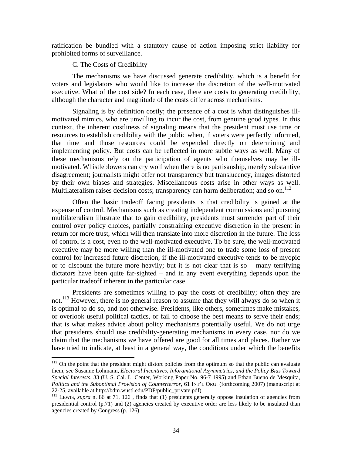ratification be bundled with a statutory cause of action imposing strict liability for prohibited forms of surveillance.

#### C. The Costs of Credibility

 $\overline{a}$ 

The mechanisms we have discussed generate credibility, which is a benefit for voters and legislators who would like to increase the discretion of the well-motivated executive. What of the cost side? In each case, there are costs to generating credibility, although the character and magnitude of the costs differ across mechanisms.

Signaling is by definition costly; the presence of a cost is what distinguishes illmotivated mimics, who are unwilling to incur the cost, from genuine good types. In this context, the inherent costliness of signaling means that the president must use time or resources to establish credibility with the public when, if voters were perfectly informed, that time and those resources could be expended directly on determining and implementing policy. But costs can be reflected in more subtle ways as well. Many of these mechanisms rely on the participation of agents who themselves may be illmotivated. Whistleblowers can cry wolf when there is no partisanship, merely substantive disagreement; journalists might offer not transparency but translucency, images distorted by their own biases and strategies. Miscellaneous costs arise in other ways as well. Multilateralism raises decision costs; transparency can harm deliberation; and so on.<sup>112</sup>

Often the basic tradeoff facing presidents is that credibility is gained at the expense of control. Mechanisms such as creating independent commissions and pursuing multilateralism illustrate that to gain credibility, presidents must surrender part of their control over policy choices, partially constraining executive discretion in the present in return for more trust, which will then translate into more discretion in the future. The loss of control is a cost, even to the well-motivated executive. To be sure, the well-motivated executive may be more willing than the ill-motivated one to trade some loss of present control for increased future discretion, if the ill-motivated executive tends to be myopic or to discount the future more heavily; but it is not clear that is so – many terrifying dictators have been quite far-sighted – and in any event everything depends upon the particular tradeoff inherent in the particular case.

Presidents are sometimes willing to pay the costs of credibility; often they are not.113 However, there is no general reason to assume that they will always do so when it is optimal to do so, and not otherwise. Presidents, like others, sometimes make mistakes, or overlook useful political tactics, or fail to choose the best means to serve their ends; that is what makes advice about policy mechanisms potentially useful. We do not urge that presidents should use credibility-generating mechanisms in every case, nor do we claim that the mechanisms we have offered are good for all times and places. Rather we have tried to indicate, at least in a general way, the conditions under which the benefits

 $112$  On the point that the president might distort policies from the optimum so that the public can evaluate them, *see* Susanne Lohmann, *Electoral Incentives, Inforamtional Asymmetries, and the Policy Bias Toward Special Interests*, 33 (U. S. Cal. L. Center, Working Paper No. 96-7 1995) and Ethan Bueno de Mesquita, *Politics and the Suboptimal Provision of Counterterror*, 61 INT'L ORG. (forthcoming 2007) (manuscript at 22-25, available at http://bdm.wustl.edu/PDF/public\_private.pdf).

<sup>&</sup>lt;sup>113</sup> LEWIS, *supra* n. 86 at 71, 126, finds that (1) presidents generally oppose insulation of agencies from presidential control (p.71) and (2) agencies created by executive order are less likely to be insulated than agencies created by Congress (p. 126).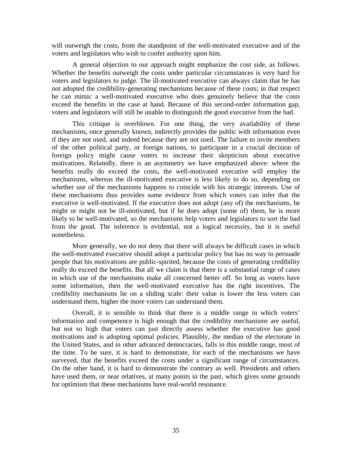will outweigh the costs, from the standpoint of the well-motivated executive and of the voters and legislators who wish to confer authority upon him.

A general objection to our approach might emphasize the cost side, as follows. Whether the benefits outweigh the costs under particular circumstances is very hard for voters and legislators to judge. The ill-motivated executive can always claim that he has not adopted the credibility-generating mechanisms because of these costs; in that respect he can mimic a well-motivated executive who does genuinely believe that the costs exceed the benefits in the case at hand. Because of this second-order information gap, voters and legislators will still be unable to distinguish the good executive from the bad.

This critique is overblown. For one thing, the very availability of these mechanisms, once generally known, indirectly provides the public with information even if they are not used, and indeed because they are not used. The failure to invite members of the other political party, or foreign nations, to participate in a crucial decision of foreign policy might cause voters to increase their skepticism about executive motivations. Relatedly, there is an asymmetry we have emphasized above: where the benefits really do exceed the costs, the well-motivated executive will employ the mechanisms, whereas the ill-motivated executive is less likely to do so, depending on whether use of the mechanisms happens to coincide with his strategic interests. Use of these mechanisms thus provides some evidence from which voters can infer that the executive is well-motivated. If the executive does not adopt (any of) the mechanisms, he might or might not be ill-motivated, but if he does adopt (some of) them, he is more likely to be well-motivated, so the mechanisms help voters and legislators to sort the bad from the good. The inference is evidential, not a logical necessity, but it is useful nonetheless.

More generally, we do not deny that there will always be difficult cases in which the well-motivated executive should adopt a particular policy but has no way to persuade people that his motivations are public-spirited, because the costs of generating credibility really do exceed the benefits. But all we claim is that there is a substantial range of cases in which use of the mechanisms make all concerned better off. So long as voters have some information, then the well-motivated executive has the right incentives. The credibility mechanisms lie on a sliding scale: their value is lower the less voters can understand them, higher the more voters can understand them.

Overall, it is sensible to think that there is a middle range in which voters' information and competence is high enough that the credibility mechanisms are useful, but not so high that voters can just directly assess whether the executive has good motivations and is adopting optimal policies. Plausibly, the median of the electorate in the United States, and in other advanced democracies, falls in this middle range, most of the time. To be sure, it is hard to demonstrate, for each of the mechanisms we have surveyed, that the benefits exceed the costs under a significant range of circumstances. On the other hand, it is hard to demonstrate the contrary as well. Presidents and others have used them, or near relatives, at many points in the past, which gives some grounds for optimism that these mechanisms have real-world resonance.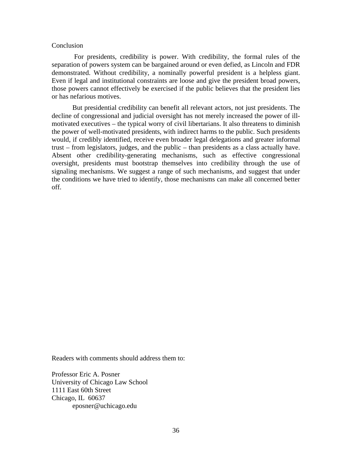#### Conclusion

 For presidents, credibility is power. With credibility, the formal rules of the separation of powers system can be bargained around or even defied, as Lincoln and FDR demonstrated. Without credibility, a nominally powerful president is a helpless giant. Even if legal and institutional constraints are loose and give the president broad powers, those powers cannot effectively be exercised if the public believes that the president lies or has nefarious motives.

 But presidential credibility can benefit all relevant actors, not just presidents. The decline of congressional and judicial oversight has not merely increased the power of illmotivated executives – the typical worry of civil libertarians. It also threatens to diminish the power of well-motivated presidents, with indirect harms to the public. Such presidents would, if credibly identified, receive even broader legal delegations and greater informal trust – from legislators, judges, and the public – than presidents as a class actually have. Absent other credibility-generating mechanisms, such as effective congressional oversight, presidents must bootstrap themselves into credibility through the use of signaling mechanisms. We suggest a range of such mechanisms, and suggest that under the conditions we have tried to identify, those mechanisms can make all concerned better off.

Readers with comments should address them to:

Professor Eric A. Posner University of Chicago Law School 1111 East 60th Street Chicago, IL 60637 eposner@uchicago.edu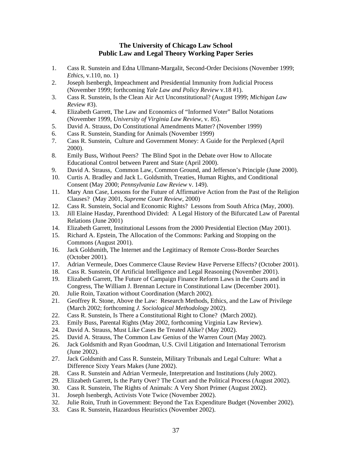#### **The University of Chicago Law School Public Law and Legal Theory Working Paper Series**

- 1. Cass R. Sunstein and Edna Ullmann-Margalit, Second-Order Decisions (November 1999; *Ethics,* v.110, no. 1)
- 2. Joseph Isenbergh, Impeachment and Presidential Immunity from Judicial Process (November 1999; forthcoming *Yale Law and Policy Review* v.18 #1).
- 3. Cass R. Sunstein, Is the Clean Air Act Unconstitutional? (August 1999; *Michigan Law Review* #3).
- 4. Elizabeth Garrett, The Law and Economics of "Informed Voter" Ballot Notations (November 1999, *University of Virginia Law Review*, v. 85).
- 5. David A. Strauss, Do Constitutional Amendments Matter? (November 1999)
- 6. Cass R. Sunstein, Standing for Animals (November 1999)
- 7. Cass R. Sunstein, Culture and Government Money: A Guide for the Perplexed (April 2000).
- 8. Emily Buss, Without Peers? The Blind Spot in the Debate over How to Allocate Educational Control between Parent and State (April 2000).
- 9. David A. Strauss, Common Law, Common Ground, and Jefferson's Principle (June 2000).
- 10. Curtis A. Bradley and Jack L. Goldsmith, Treaties, Human Rights, and Conditional Consent (May 2000; *Pennsylvania Law Review* v. 149).
- 11. Mary Ann Case, Lessons for the Future of Affirmative Action from the Past of the Religion Clauses? (May 2001, *Supreme Court Review*, 2000)
- 12. Cass R. Sunstein, Social and Economic Rights? Lessons from South Africa (May, 2000).
- 13. Jill Elaine Hasday, Parenthood Divided: A Legal History of the Bifurcated Law of Parental Relations (June 2001)
- 14. Elizabeth Garrett, Institutional Lessons from the 2000 Presidential Election (May 2001).
- 15. Richard A. Epstein, The Allocation of the Commons: Parking and Stopping on the Commons (August 2001).
- 16. Jack Goldsmith, The Internet and the Legitimacy of Remote Cross-Border Searches (October 2001).
- 17. Adrian Vermeule, Does Commerce Clause Review Have Perverse Effects? (October 2001).
- 18. Cass R. Sunstein, Of Artificial Intelligence and Legal Reasoning (November 2001).
- 19. Elizabeth Garrett, The Future of Campaign Finance Reform Laws in the Courts and in Congress, The William J. Brennan Lecture in Constitutional Law (December 2001).
- 20. Julie Roin, Taxation without Coordination (March 2002).
- 21. Geoffrey R. Stone, Above the Law: Research Methods, Ethics, and the Law of Privilege (March 2002; forthcoming *J. Sociological Methodology* 2002).
- 22. Cass R. Sunstein, Is There a Constitutional Right to Clone? (March 2002).
- 23. Emily Buss, Parental Rights (May 2002, forthcoming Virginia Law Review).
- 24. David A. Strauss, Must Like Cases Be Treated Alike? (May 2002).
- 25. David A. Strauss, The Common Law Genius of the Warren Court (May 2002).
- 26. Jack Goldsmith and Ryan Goodman, U.S. Civil Litigation and International Terrorism (June 2002).
- 27. Jack Goldsmith and Cass R. Sunstein, Military Tribunals and Legal Culture: What a Difference Sixty Years Makes (June 2002).
- 28. Cass R. Sunstein and Adrian Vermeule, Interpretation and Institutions (July 2002).
- 29. Elizabeth Garrett, Is the Party Over? The Court and the Political Process (August 2002).
- 30. Cass R. Sunstein, The Rights of Animals: A Very Short Primer (August 2002).
- 31. Joseph Isenbergh, Activists Vote Twice (November 2002).
- 32. Julie Roin, Truth in Government: Beyond the Tax Expenditure Budget (November 2002).
- 33. Cass R. Sunstein, Hazardous Heuristics (November 2002).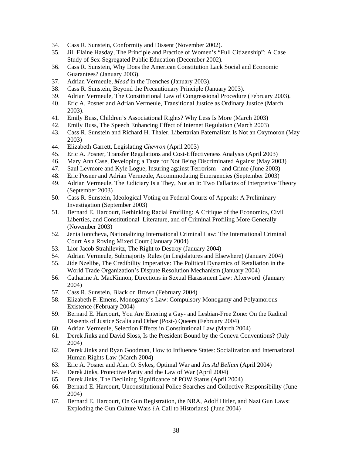- 34. Cass R. Sunstein, Conformity and Dissent (November 2002).
- 35. Jill Elaine Hasday, The Principle and Practice of Women's "Full Citizenship": A Case Study of Sex-Segregated Public Education (December 2002).
- 36. Cass R. Sunstein, Why Does the American Constitution Lack Social and Economic Guarantees? (January 2003).
- 37. Adrian Vermeule, *Mead* in the Trenches (January 2003).
- 38. Cass R. Sunstein, Beyond the Precautionary Principle (January 2003).
- 39. Adrian Vermeule, The Constitutional Law of Congressional Procedure (February 2003).
- 40. Eric A. Posner and Adrian Vermeule, Transitional Justice as Ordinary Justice (March 2003).
- 41. Emily Buss, Children's Associational Rights? Why Less Is More (March 2003)
- 42. Emily Buss, The Speech Enhancing Effect of Internet Regulation (March 2003)
- 43. Cass R. Sunstein and Richard H. Thaler, Libertarian Paternalism Is Not an Oxymoron (May 2003)
- 44. Elizabeth Garrett, Legislating *Chevron* (April 2003)
- 45. Eric A. Posner, Transfer Regulations and Cost-Effectiveness Analysis (April 2003)
- 46. Mary Ann Case, Developing a Taste for Not Being Discriminated Against (May 2003)
- 47. Saul Levmore and Kyle Logue, Insuring against Terrorism—and Crime (June 2003)
- 48. Eric Posner and Adrian Vermeule, Accommodating Emergencies (September 2003)
- 49. Adrian Vermeule, The Judiciary Is a They, Not an It: Two Fallacies of Interpretive Theory (September 2003)
- 50. Cass R. Sunstein, Ideological Voting on Federal Courts of Appeals: A Preliminary Investigation (September 2003)
- 51. Bernard E. Harcourt, Rethinking Racial Profiling: A Critique of the Economics, Civil Liberties, and Constitutional Literature, and of Criminal Profiling More Generally (November 2003)
- 52. Jenia Iontcheva, Nationalizing International Criminal Law: The International Criminal Court As a Roving Mixed Court (January 2004)
- 53. Lior Jacob Strahilevitz, The Right to Destroy (January 2004)
- 54. Adrian Vermeule, Submajority Rules (in Legislatures and Elsewhere) (January 2004)
- 55. Jide Nzelibe, The Credibility Imperative: The Political Dynamics of Retaliation in the World Trade Organization's Dispute Resolution Mechanism (January 2004)
- 56. Catharine A. MacKinnon, Directions in Sexual Harassment Law: Afterword (January 2004)
- 57. Cass R. Sunstein, Black on Brown (February 2004)
- 58. Elizabeth F. Emens, Monogamy's Law: Compulsory Monogamy and Polyamorous Existence (February 2004)
- 59. Bernard E. Harcourt, You Are Entering a Gay- and Lesbian-Free Zone: On the Radical Dissents of Justice Scalia and Other (Post-) Queers (February 2004)
- 60. Adrian Vermeule, Selection Effects in Constitutional Law (March 2004)
- 61. Derek Jinks and David Sloss, Is the President Bound by the Geneva Conventions? (July 2004)
- 62. Derek Jinks and Ryan Goodman, How to Influence States: Socialization and International Human Rights Law (March 2004)
- 63. Eric A. Posner and Alan O. Sykes, Optimal War and *Jus Ad Bellum* (April 2004)
- 64. Derek Jinks, Protective Parity and the Law of War (April 2004)
- 65. Derek Jinks, The Declining Significance of POW Status (April 2004)
- 66. Bernard E. Harcourt, Unconstitutional Police Searches and Collective Responsibility (June 2004)
- 67. Bernard E. Harcourt, On Gun Registration, the NRA, Adolf Hitler, and Nazi Gun Laws: Exploding the Gun Culture Wars {A Call to Historians} (June 2004)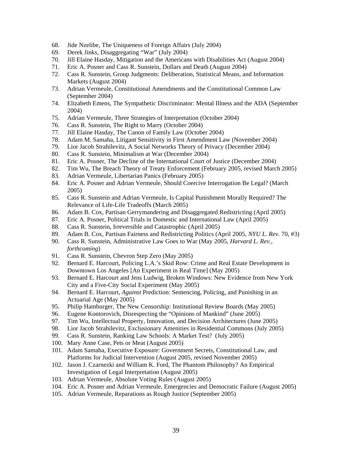- 68. Jide Nzelibe, The Uniqueness of Foreign Affairs (July 2004)
- 69. Derek Jinks, Disaggregating "War" (July 2004)
- 70. Jill Elaine Hasday, Mitigation and the Americans with Disabilities Act (August 2004)
- 71. Eric A. Posner and Cass R. Sunstein, Dollars and Death (August 2004)
- 72. Cass R. Sunstein, Group Judgments: Deliberation, Statistical Means, and Information Markets (August 2004)
- 73. Adrian Vermeule, Constitutional Amendments and the Constitutional Common Law (September 2004)
- 74. Elizabeth Emens, The Sympathetic Discriminator: Mental Illness and the ADA (September 2004)
- 75. Adrian Vermeule, Three Strategies of Interpretation (October 2004)
- 76. Cass R. Sunstein, The Right to Marry (October 2004)
- 77. Jill Elaine Hasday, The Canon of Family Law (October 2004)
- 78. Adam M. Samaha, Litigant Sensitivity in First Amendment Law (November 2004)
- 79. Lior Jacob Strahilevitz, A Social Networks Theory of Privacy (December 2004)
- 80. Cass R. Sunstein, Minimalism at War (December 2004)
- 81. Eric A. Posner, The Decline of the International Court of Justice (December 2004)
- 82. Tim Wu, The Breach Theory of Treaty Enforcement (February 2005, revised March 2005)
- 83. Adrian Vermeule, Libertarian Panics (February 2005)
- 84. Eric A. Posner and Adrian Vermeule, Should Coercive Interrogation Be Legal? (March 2005)
- 85. Cass R. Sunstein and Adrian Vermeule, Is Capital Punishment Morally Required? The Relevance of Life-Life Tradeoffs (March 2005)
- 86. Adam B. Cox, Partisan Gerrymandering and Disaggregated Redistricting (April 2005)
- 87. Eric A. Posner, Political Trials in Domestic and International Law (April 2005)
- 88. Cass R. Sunstein, Irreversible and Catastrophic (April 2005)
- 89. Adam B. Cox, Partisan Fairness and Redistricting Politics (April 2005, *NYU L. Rev.* 70, #3)
- 90. Cass R. Sunstein, Administrative Law Goes to War (May 2005, *Harvard L. Rev., forthcoming*)
- 91. Cass R. Sunstein, Chevron Step Zero (May 2005)
- 92. Bernard E. Harcourt, Policing L.A.'s Skid Row: Crime and Real Estate Development in Downtown Los Angeles [An Experiment in Real Time] (May 2005)
- 93. Bernard E. Harcourt and Jens Ludwig, Broken Windows: New Evidence from New York City and a Five-City Social Experiment (May 2005)
- 94. Bernard E. Harcourt, *Against* Prediction: Sentencing, Policing, and Punishing in an Actuarial Age (May 2005)
- 95. Philip Hamburger, The New Censorship: Institutional Review Boards (May 2005)
- 96. Eugene Kontorovich, Disrespecting the "Opinions of Mankind" (June 2005)
- 97. Tim Wu, Intellectual Property, Innovation, and Decision Architectures (June 2005)
- 98. Lior Jacob Strahilevitz, Exclusionary Amenities in Residential Commons (July 2005)
- 99. Cass R. Sunstein, Ranking Law Schools: A Market Test? (July 2005)
- 100. Mary Anne Case, Pets or Meat (August 2005)
- 101. Adam Samaha, Executive Exposure: Government Secrets, Constitutional Law, and Platforms for Judicial Intervention (August 2005, revised November 2005)
- 102. Jason J. Czarnezki and William K. Ford, The Phantom Philosophy? An Empirical Investigation of Legal Interpretation (August 2005)
- 103. Adrian Vermeule, Absolute Voting Rules (August 2005)
- 104. Eric A. Posner and Adrian Vermeule, Emergencies and Democratic Failure (August 2005)
- 105. Adrian Vermeule, Reparations as Rough Justice (September 2005)